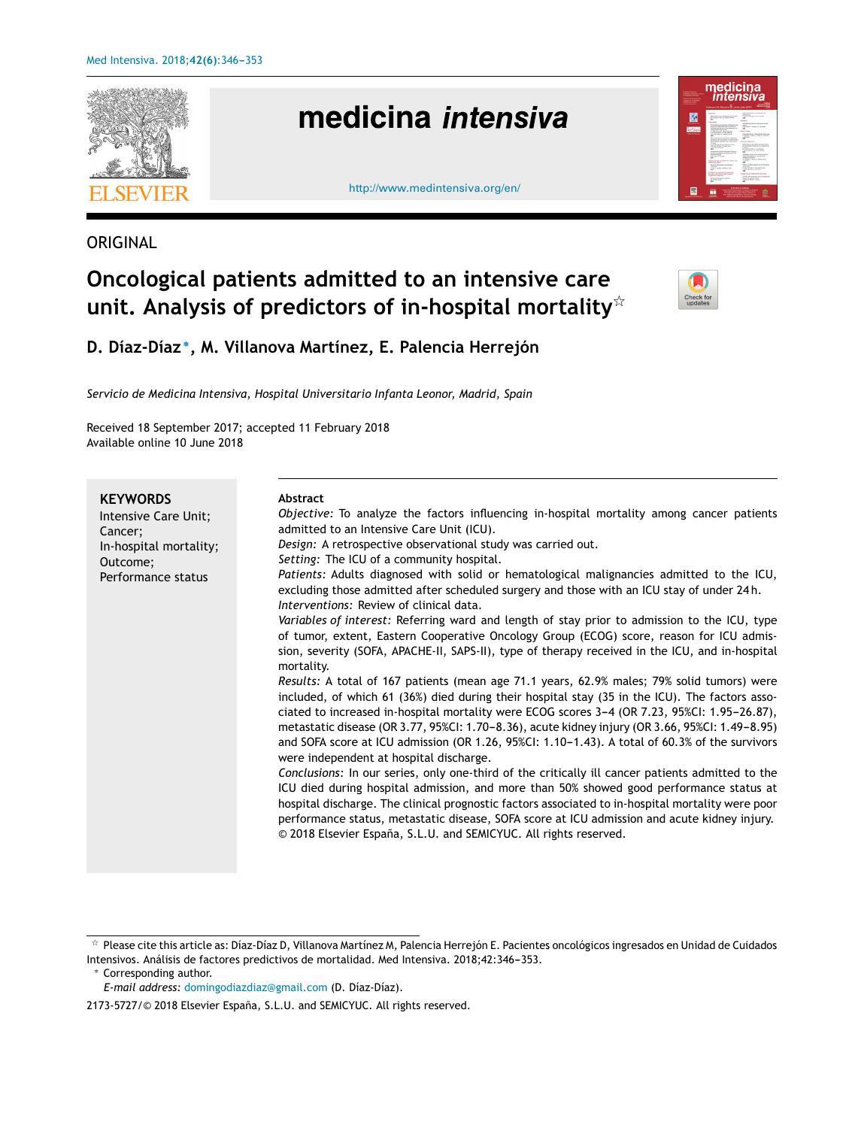

**ORIGINAL** 

# **Oncological patients admitted to an intensive care unit. Analysis of predictors of in-hospital mortality**-



**D. Díaz-Díaz** <sup>∗</sup> **, M. Villanova Martínez, E. Palencia Herrejón**

*Servicio de Medicina Intensiva, Hospital Universitario Infanta Leonor, Madrid, Spain*

Received 18 September 2017; accepted 11 February 2018 Available online 10 June 2018

| <b>Abstract</b><br><b>KEYWORDS</b><br><i>Objective:</i> To analyze the factors influencing in-hospital mortality among cancer patients<br>Intensive Care Unit;<br>admitted to an Intensive Care Unit (ICU).<br>Cancer:<br>Design: A retrospective observational study was carried out.<br>In-hospital mortality;<br>Setting: The ICU of a community hospital.<br>Outcome;<br>Patients: Adults diagnosed with solid or hematological malignancies admitted to the ICU,<br>Performance status<br>excluding those admitted after scheduled surgery and those with an ICU stay of under 24h.<br>Interventions: Review of clinical data.<br>Variables of interest: Referring ward and length of stay prior to admission to the ICU, type<br>of tumor, extent, Eastern Cooperative Oncology Group (ECOG) score, reason for ICU admis-<br>sion, severity (SOFA, APACHE-II, SAPS-II), type of therapy received in the ICU, and in-hospital<br>mortality.<br>Results: A total of 167 patients (mean age 71.1 years, 62.9% males; 79% solid tumors) were<br>included, of which 61 (36%) died during their hospital stay (35 in the ICU). The factors asso-<br>ciated to increased in-hospital mortality were ECOG scores 3-4 (OR 7.23, 95%CI: 1.95-26.87),<br>metastatic disease (OR 3.77, 95%CI: 1.70–8.36), acute kidney injury (OR 3.66, 95%CI: 1.49–8.95)<br>and SOFA score at ICU admission (OR 1.26, 95%CI: 1.10-1.43). A total of 60.3% of the survivors<br>were independent at hospital discharge.<br>Conclusions: In our series, only one-third of the critically ill cancer patients admitted to the<br>ICU died during hospital admission, and more than 50% showed good performance status at<br>hospital discharge. The clinical prognostic factors associated to in-hospital mortality were poor<br>performance status, metastatic disease, SOFA score at ICU admission and acute kidney injury.<br>© 2018 Elsevier España, S.L.U. and SEMICYUC. All rights reserved. |  |
|---------------------------------------------------------------------------------------------------------------------------------------------------------------------------------------------------------------------------------------------------------------------------------------------------------------------------------------------------------------------------------------------------------------------------------------------------------------------------------------------------------------------------------------------------------------------------------------------------------------------------------------------------------------------------------------------------------------------------------------------------------------------------------------------------------------------------------------------------------------------------------------------------------------------------------------------------------------------------------------------------------------------------------------------------------------------------------------------------------------------------------------------------------------------------------------------------------------------------------------------------------------------------------------------------------------------------------------------------------------------------------------------------------------------------------------------------------------------------------------------------------------------------------------------------------------------------------------------------------------------------------------------------------------------------------------------------------------------------------------------------------------------------------------------------------------------------------------------------------------------------------------------------------------------------------------------------------------------------|--|
|                                                                                                                                                                                                                                                                                                                                                                                                                                                                                                                                                                                                                                                                                                                                                                                                                                                                                                                                                                                                                                                                                                                                                                                                                                                                                                                                                                                                                                                                                                                                                                                                                                                                                                                                                                                                                                                                                                                                                                           |  |

Corresponding author.

 $^\star$  Please cite this article as: Díaz-Díaz D, Villanova Martínez M, Palencia Herrejón E. Pacientes oncológicos ingresados en Unidad de Cuidados Intensivos. Análisis de factores predictivos de mortalidad. Med Intensiva. 2018;42:346-353.

*E-mail address:* [domingodiazdiaz@gmail.com](mailto:domingodiazdiaz@gmail.com) (D. Díaz-Díaz).

<sup>2173-5727/© 2018</sup> Elsevier España, S.L.U. and SEMICYUC. All rights reserved.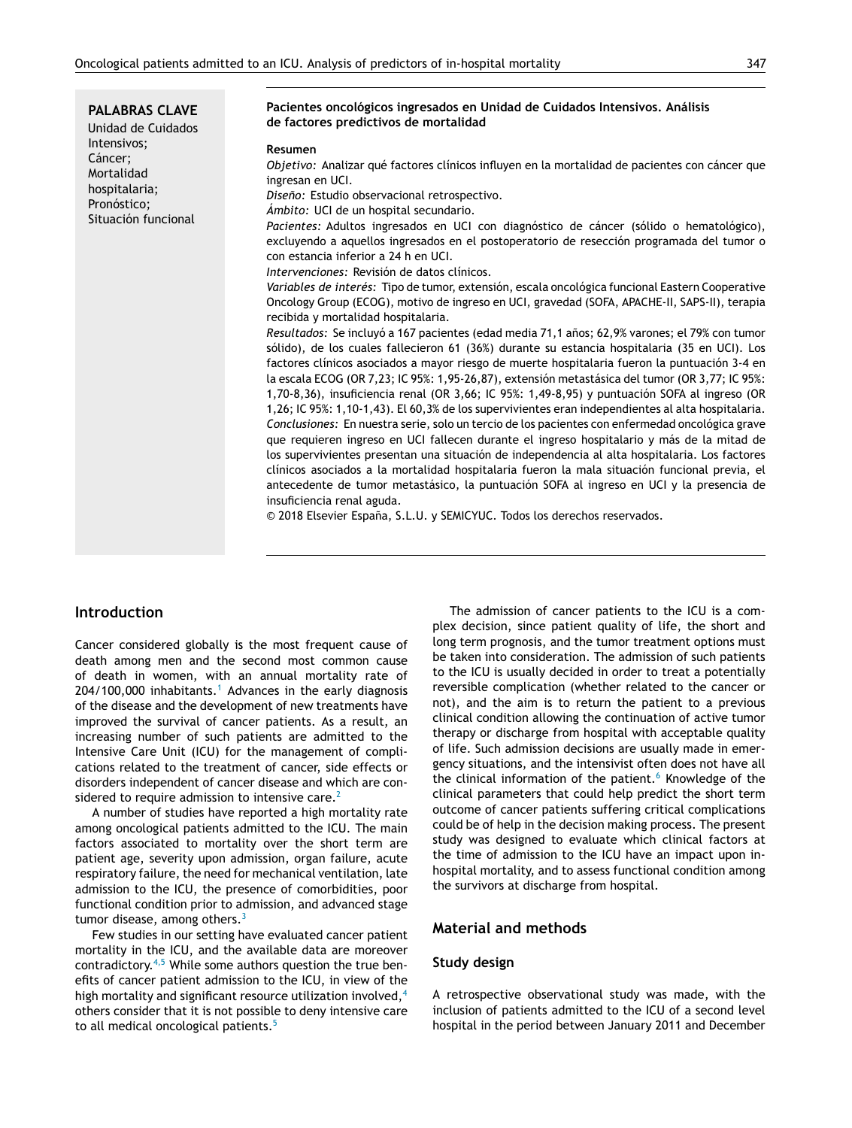**PALABRAS CLAVE**

Unidad de Cuidados Intensivos; Cáncer; Mortalidad hospitalaria; Pronóstico; Situación funcional

#### **Pacientes oncológicos ingresados en Unidad de Cuidados Intensivos. Análisis de factores predictivos de mortalidad**

#### **Resumen**

*Objetivo:* Analizar qué factores clínicos influyen en la mortalidad de pacientes con cáncer que ingresan en UCI.

*Diseno: ˜* Estudio observacional retrospectivo.

*Ámbito:* UCI de un hospital secundario.

*Pacientes:* Adultos ingresados en UCI con diagnóstico de cáncer (sólido o hematológico), excluyendo a aquellos ingresados en el postoperatorio de resección programada del tumor o con estancia inferior a 24 h en UCI.

*Intervenciones:* Revisión de datos clínicos.

*Variables de interés:* Tipo de tumor, extensión, escala oncológica funcional Eastern Cooperative Oncology Group (ECOG), motivo de ingreso en UCI, gravedad (SOFA, APACHE-II, SAPS-II), terapia recibida y mortalidad hospitalaria.

*Resultados:* Se incluyó a 167 pacientes (edad media 71,1 años; 62,9% varones; el 79% con tumor sólido), de los cuales fallecieron 61 (36%) durante su estancia hospitalaria (35 en UCI). Los factores clínicos asociados a mayor riesgo de muerte hospitalaria fueron la puntuación 3-4 en la escala ECOG (OR 7,23; IC 95%: 1,95-26,87), extensión metastásica del tumor (OR 3,77; IC 95%: 1,70-8,36), insuficiencia renal (OR 3,66; IC 95%: 1,49-8,95) y puntuación SOFA al ingreso (OR 1,26; IC 95%: 1,10-1,43). El 60,3% de los supervivientes eran independientes al alta hospitalaria. *Conclusiones:* En nuestra serie, solo un tercio de los pacientes con enfermedad oncológica grave que requieren ingreso en UCI fallecen durante el ingreso hospitalario y más de la mitad de los supervivientes presentan una situación de independencia al alta hospitalaria. Los factores clínicos asociados a la mortalidad hospitalaria fueron la mala situación funcional previa, el antecedente de tumor metastásico, la puntuación SOFA al ingreso en UCI y la presencia de insuficiencia renal aguda.

© 2018 Elsevier España, S.L.U. y SEMICYUC. Todos los derechos reservados.

## **Introduction**

Cancer considered globally is the most frequent cause of death among men and the second most common cause of death in women, with an annual mortality rate of  $204/100,000$  $204/100,000$  $204/100,000$  inhabitants.<sup>1</sup> Advances in the early diagnosis of the disease and the development of new treatments have improved the survival of cancer patients. As a result, an increasing number of such patients are admitted to the Intensive Care Unit (ICU) for the management of complications related to the treatment of cancer, side effects or disorders independent of cancer disease and which are con-sidered to require admission to intensive care.<sup>[2](#page-6-0)</sup>

A number of studies have reported a high mortality rate among oncological patients admitted to the ICU. The main factors associated to mortality over the short term are patient age, severity upon admission, organ failure, acute respiratory failure, the need for mechanical ventilation, late admission to the ICU, the presence of comorbidities, poor functional condition prior to admission, and advanced stage tumor disease, among others. $3$ 

Few studies in our setting have evaluated cancer patient mortality in the ICU, and the available data are moreover contradictory. $4,5$  While some authors question the true benefits of cancer patient admission to the ICU, in view of the high mortality and significant resource utilization involved, $4$ others consider that it is not possible to deny intensive care to all medical oncological patients.<sup>[5](#page-6-0)</sup>

The admission of cancer patients to the ICU is a complex decision, since patient quality of life, the short and long term prognosis, and the tumor treatment options must be taken into consideration. The admission of such patients to the ICU is usually decided in order to treat a potentially reversible complication (whether related to the cancer or not), and the aim is to return the patient to a previous clinical condition allowing the continuation of active tumor therapy or discharge from hospital with acceptable quality of life. Such admission decisions are usually made in emergency situations, and the intensivist often does not have all the clinical information of the patient. $6$  Knowledge of the clinical parameters that could help predict the short term outcome of cancer patients suffering critical complications could be of help in the decision making process. The present study was designed to evaluate which clinical factors at the time of admission to the ICU have an impact upon inhospital mortality, and to assess functional condition among the survivors at discharge from hospital.

## **Material and methods**

## **Study design**

A retrospective observational study was made, with the inclusion of patients admitted to the ICU of a second level hospital in the period between January 2011 and December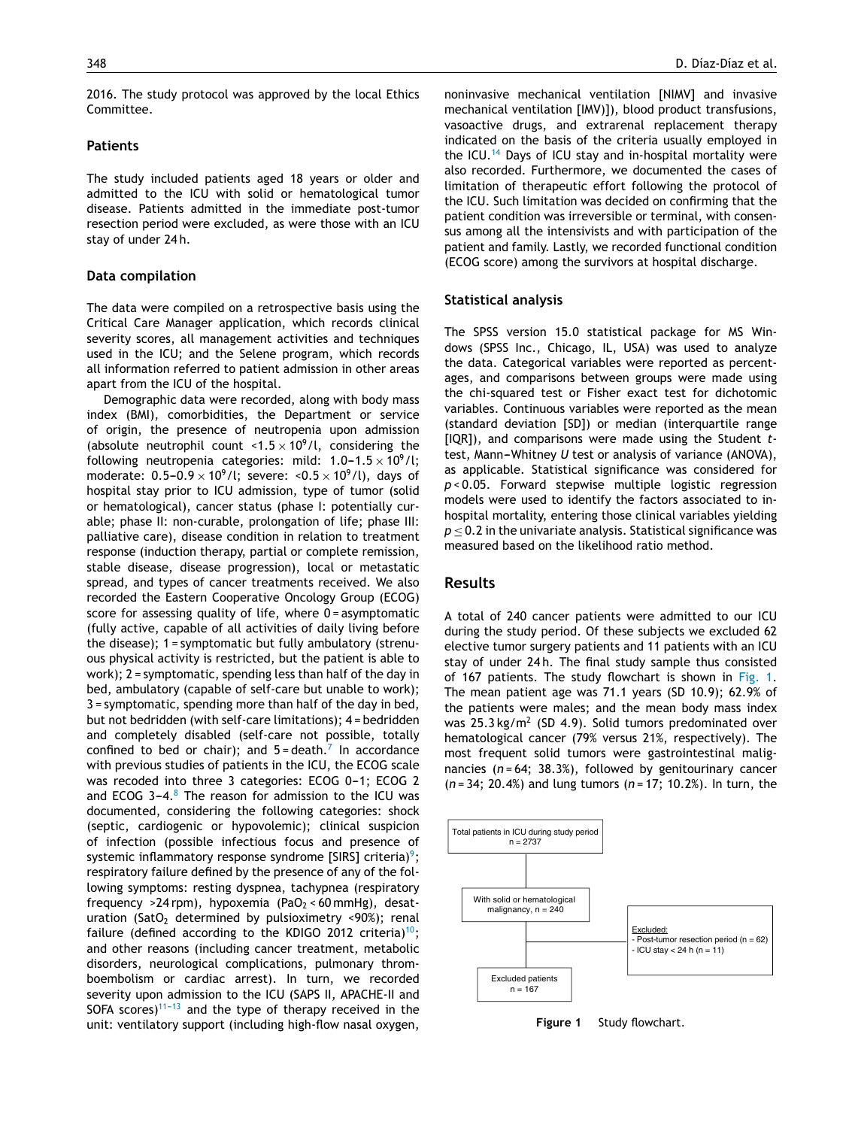2016. The study protocol was approved by the local Ethics Committee.

## **Patients**

The study included patients aged 18 years or older and admitted to the ICU with solid or hematological tumor disease. Patients admitted in the immediate post-tumor resection period were excluded, as were those with an ICU stay of under 24 h.

#### **Data compilation**

The data were compiled on a retrospective basis using the Critical Care Manager application, which records clinical severity scores, all management activities and techniques used in the ICU; and the Selene program, which records all information referred to patient admission in other areas apart from the ICU of the hospital.

Demographic data were recorded, along with body mass index (BMI), comorbidities, the Department or service of origin, the presence of neutropenia upon admission (absolute neutrophil count  $\langle 1.5 \times 10^9 / l$ , considering the following neutropenia categories: mild:  $1.0-1.5 \times 10^9$ /l: moderate:  $0.5-0.9 \times 10^9$ /l; severe: < $0.5 \times 10^9$ /l), days of hospital stay prior to ICU admission, type of tumor (solid or hematological), cancer status (phase I: potentially curable; phase II: non-curable, prolongation of life; phase III: palliative care), disease condition in relation to treatment response (induction therapy, partial or complete remission, stable disease, disease progression), local or metastatic spread, and types of cancer treatments received. We also recorded the Eastern Cooperative Oncology Group (ECOG) score for assessing quality of life, where 0 = asymptomatic (fully active, capable of all activities of daily living before the disease); 1 = symptomatic but fully ambulatory (strenuous physical activity is restricted, but the patient is able to work); 2 = symptomatic, spending less than half of the day in bed, ambulatory (capable of self-care but unable to work); 3 = symptomatic, spending more than half of the day in bed, but not bedridden (with self-care limitations); 4 = bedridden and completely disabled (self-care not possible, totally confined to bed or chair); and  $5 =$  death.<sup>[7](#page-6-0)</sup> In accordance with previous studies of patients in the ICU, the ECOG scale was recoded into three 3 categories: ECOG 0-1; ECOG 2 and ECOG  $3-4.8$  $3-4.8$  The reason for admission to the ICU was documented, considering the following categories: shock (septic, cardiogenic or hypovolemic); clinical suspicion of infection (possible infectious focus and presence of systemic inflammatory response syndrome [SIRS] criteria)<sup>9</sup>[;](#page-6-0) respiratory failure defined by the presence of any of the following symptoms: resting dyspnea, tachypnea (respiratory frequency >24 rpm), hypoxemia (PaO<sub>2</sub> < 60 mmHg), desaturation (SatO<sub>2</sub> determined by pulsioximetry <90%); renal failure (defined according to the KDIGO 2012 criteria)<sup>[10](#page-6-0)</sup>; and other reasons (including cancer treatment, metabolic disorders, neurological complications, pulmonary thromboembolism or cardiac arrest). In turn, we recorded severity upon admission to the ICU (SAPS II, APACHE-II and SOFA scores)<sup>11-13</sup> and the type of therapy received in the unit: ventilatory support (including high-flow nasal oxygen,

noninvasive mechanical ventilation [NIMV] and invasive mechanical ventilation [IMV)]), blood product transfusions, vasoactive drugs, and extrarenal replacement therapy indicated on the basis of the criteria usually employed in the ICU.<sup>[14](#page-6-0)</sup> Days of ICU stay and in-hospital mortality were also recorded. Furthermore, we documented the cases of limitation of therapeutic effort following the protocol of the ICU. Such limitation was decided on confirming that the patient condition was irreversible or terminal, with consensus among all the intensivists and with participation of the patient and family. Lastly, we recorded functional condition (ECOG score) among the survivors at hospital discharge.

#### **Statistical analysis**

The SPSS version 15.0 statistical package for MS Windows (SPSS Inc., Chicago, IL, USA) was used to analyze the data. Categorical variables were reported as percentages, and comparisons between groups were made using the chi-squared test or Fisher exact test for dichotomic variables. Continuous variables were reported as the mean (standard deviation [SD]) or median (interquartile range [IQR]), and comparisons were made using the Student *t*test, Mann-Whitney *U* test or analysis of variance (ANOVA), as applicable. Statistical significance was considered for *p* < 0.05. Forward stepwise multiple logistic regression models were used to identify the factors associated to inhospital mortality, entering those clinical variables yielding *p* ≤ 0.2 in the univariate analysis. Statistical significance was measured based on the likelihood ratio method.

## **Results**

A total of 240 cancer patients were admitted to our ICU during the study period. Of these subjects we excluded 62 elective tumor surgery patients and 11 patients with an ICU stay of under 24 h. The final study sample thus consisted of 167 patients. The study flowchart is shown in Fig. 1. The mean patient age was 71.1 years (SD 10.9); 62.9% of the patients were males; and the mean body mass index was 25.3 kg/m<sup>2</sup> (SD 4.9). Solid tumors predominated over hematological cancer (79% versus 21%, respectively). The most frequent solid tumors were gastrointestinal malignancies (*n* = 64; 38.3%), followed by genitourinary cancer (*n* = 34; 20.4%) and lung tumors (*n* = 17; 10.2%). In turn, the



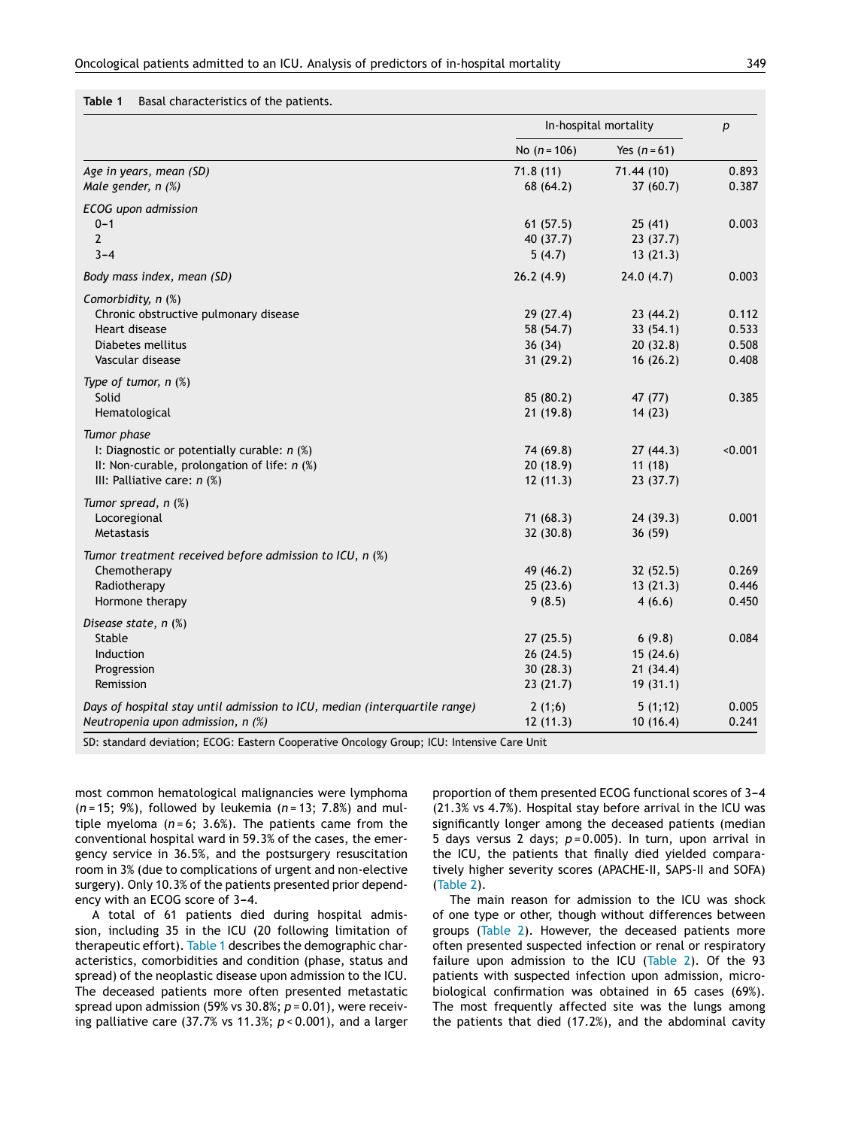**Table 1** Basal characteristics of the patients.

|                                                                            |                | In-hospital mortality |         |
|----------------------------------------------------------------------------|----------------|-----------------------|---------|
|                                                                            | No $(n = 106)$ | Yes $(n = 61)$        |         |
| Age in years, mean (SD)                                                    | 71.8(11)       | 71.44(10)             | 0.893   |
| Male gender, n (%)                                                         | 68 (64.2)      | 37(60.7)              | 0.387   |
| ECOG upon admission                                                        |                |                       |         |
| $0 - 1$                                                                    | 61(57.5)       | 25(41)                | 0.003   |
| $\overline{2}$                                                             | 40 (37.7)      | 23(37.7)              |         |
| $3 - 4$                                                                    | 5(4.7)         | 13(21.3)              |         |
| Body mass index, mean (SD)                                                 | 26.2(4.9)      | 24.0(4.7)             | 0.003   |
| Comorbidity, n (%)                                                         |                |                       |         |
| Chronic obstructive pulmonary disease                                      | 29(27.4)       | 23(44.2)              | 0.112   |
| Heart disease                                                              | 58 (54.7)      | 33(54.1)              | 0.533   |
| Diabetes mellitus                                                          | 36(34)         | 20(32.8)              | 0.508   |
| Vascular disease                                                           | 31(29.2)       | 16(26.2)              | 0.408   |
| Type of tumor, n (%)                                                       |                |                       |         |
| Solid                                                                      | 85 (80.2)      | 47 (77)               | 0.385   |
| Hematological                                                              | 21(19.8)       | 14(23)                |         |
| Tumor phase                                                                |                |                       |         |
| I: Diagnostic or potentially curable: $n$ (%)                              | 74 (69.8)      | 27(44.3)              | < 0.001 |
| II: Non-curable, prolongation of life: $n$ (%)                             | 20(18.9)       | 11(18)                |         |
| III: Palliative care: $n$ (%)                                              | 12(11.3)       | 23(37.7)              |         |
| Tumor spread, n (%)                                                        |                |                       |         |
| Locoregional                                                               | 71(68.3)       | 24(39.3)              | 0.001   |
| Metastasis                                                                 | 32(30.8)       | 36 (59)               |         |
| Tumor treatment received before admission to ICU, n (%)                    |                |                       |         |
| Chemotherapy                                                               | 49 (46.2)      | 32(52.5)              | 0.269   |
| Radiotherapy                                                               | 25(23.6)       | 13(21.3)              | 0.446   |
| Hormone therapy                                                            | 9(8.5)         | 4(6.6)                | 0.450   |
| Disease state, n (%)                                                       |                |                       |         |
| Stable                                                                     | 27(25.5)       | 6(9.8)                | 0.084   |
| Induction                                                                  | 26(24.5)       | 15(24.6)              |         |
| Progression                                                                | 30(28.3)       | 21(34.4)              |         |
| Remission                                                                  | 23(21.7)       | 19 (31.1)             |         |
| Days of hospital stay until admission to ICU, median (interquartile range) | 2(1;6)         | 5(1;12)               | 0.005   |
| Neutropenia upon admission, n (%)                                          | 12(11.3)       | 10(16.4)              | 0.241   |

SD: standard deviation; ECOG: Eastern Cooperative Oncology Group; ICU: Intensive Care Unit

most common hematological malignancies were lymphoma (*n* = 15; 9%), followed by leukemia (*n* = 13; 7.8%) and multiple myeloma  $(n=6; 3.6%)$ . The patients came from the conventional hospital ward in 59.3% of the cases, the emergency service in 36.5%, and the postsurgery resuscitation room in 3% (due to complications of urgent and non-elective surgery). Only 10.3% of the patients presented prior dependency with an ECOG score of 3-4.

A total of 61 patients died during hospital admission, including 35 in the ICU (20 following limitation of therapeutic effort). Table 1 describes the demographic characteristics, comorbidities and condition (phase, status and spread) of the neoplastic disease upon admission to the ICU. The deceased patients more often presented metastatic spread upon admission (59% vs 30.8%; *p* = 0.01), were receiving palliative care (37.7% vs 11.3%; *p* < 0.001), and a larger proportion of them presented ECOG functional scores of 3-4 (21.3% vs 4.7%). Hospital stay before arrival in the ICU was significantly longer among the deceased patients (median 5 days versus 2 days;  $p = 0.005$ ). In turn, upon arrival in the ICU, the patients that finally died yielded comparatively higher severity scores (APACHE-II, SAPS-II and SOFA) ([Table](#page-4-0) 2).

The main reason for admission to the ICU was shock of one type or other, though without differences between groups [\(Table](#page-4-0) 2). However, the deceased patients more often presented suspected infection or renal or respiratory failure upon admission to the ICU ([Table](#page-4-0) 2). Of the 93 patients with suspected infection upon admission, microbiological confirmation was obtained in 65 cases (69%). The most frequently affected site was the lungs among the patients that died (17.2%), and the abdominal cavity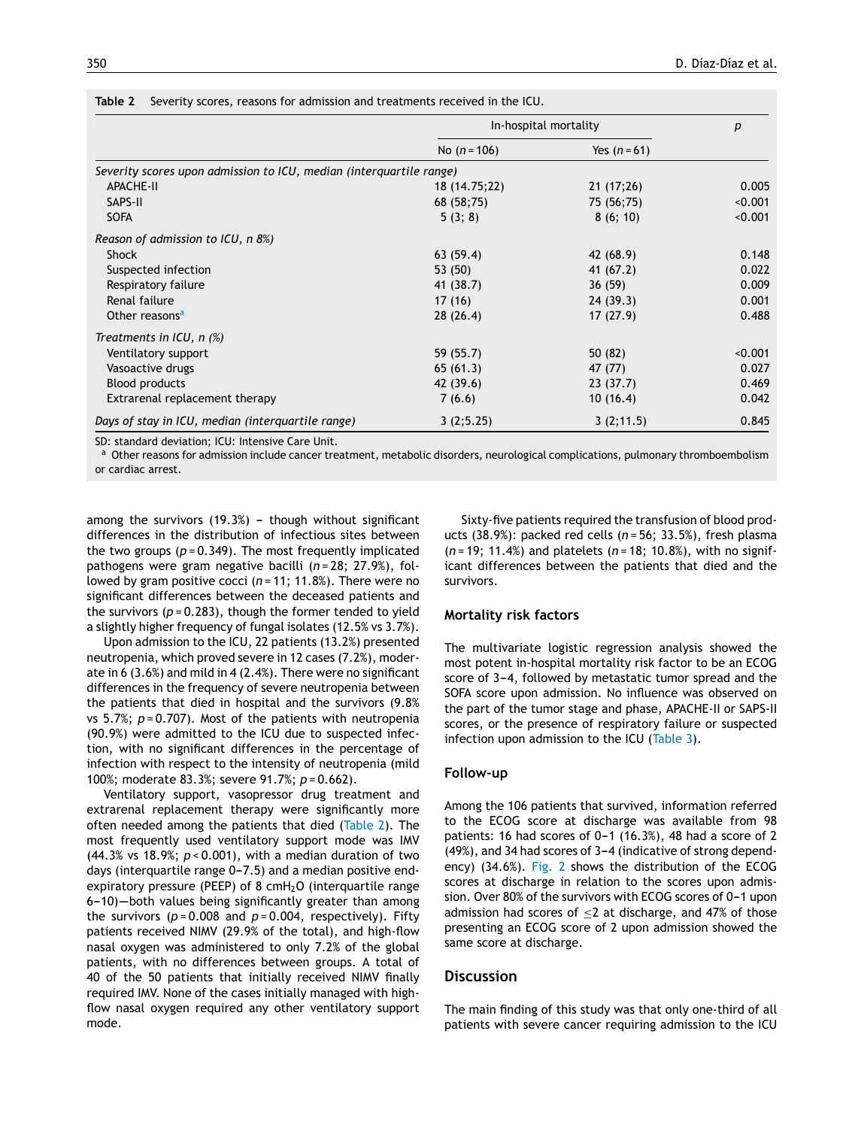|                                                                     | In-hospital mortality |                | p       |
|---------------------------------------------------------------------|-----------------------|----------------|---------|
|                                                                     | No $(n = 106)$        | Yes $(n = 61)$ |         |
| Severity scores upon admission to ICU, median (interquartile range) |                       |                |         |
| <b>APACHE-II</b>                                                    | 18 (14.75;22)         | 21 (17;26)     | 0.005   |
| SAPS-II                                                             | 68 (58;75)            | 75 (56;75)     | < 0.001 |
| <b>SOFA</b>                                                         | 5(3; 8)               | 8(6; 10)       | < 0.001 |
| Reason of admission to ICU, n 8%)                                   |                       |                |         |
| <b>Shock</b>                                                        | 63(59.4)              | 42 (68.9)      | 0.148   |
| Suspected infection                                                 | 53 (50)               | 41(67.2)       | 0.022   |
| Respiratory failure                                                 | 41 (38.7)             | 36(59)         | 0.009   |
| Renal failure                                                       | 17(16)                | 24(39.3)       | 0.001   |
| Other reasons <sup>a</sup>                                          | 28(26.4)              | 17(27.9)       | 0.488   |
| Treatments in ICU, $n$ (%)                                          |                       |                |         |
| Ventilatory support                                                 | 59 (55.7)             | 50 (82)        | < 0.001 |
| Vasoactive drugs                                                    | 65(61.3)              | 47 (77)        | 0.027   |
| <b>Blood products</b>                                               | 42 (39.6)             | 23(37.7)       | 0.469   |
| Extrarenal replacement therapy                                      | 7(6.6)                | 10(16.4)       | 0.042   |
| Days of stay in ICU, median (interguartile range)                   | 3(2;5.25)             | 3(2;11.5)      | 0.845   |

<span id="page-4-0"></span>**Table 2** Severity scores, reasons for admission and treatments received in the ICU.

SD: standard deviation; ICU: Intensive Care Unit.

a Other reasons for admission include cancer treatment, metabolic disorders, neurological complications, pulmonary thromboembolism or cardiac arrest.

among the survivors  $(19.3%)$  - though without significant differences in the distribution of infectious sites between the two groups  $(p = 0.349)$ . The most frequently implicated pathogens were gram negative bacilli (*n* = 28; 27.9%), followed by gram positive cocci (*n* = 11; 11.8%). There were no significant differences between the deceased patients and the survivors  $(p = 0.283)$ , though the former tended to yield a slightly higher frequency of fungal isolates (12.5% vs 3.7%).

Upon admission to the ICU, 22 patients (13.2%) presented neutropenia, which proved severe in 12 cases (7.2%), moderate in 6 (3.6%) and mild in 4 (2.4%). There were no significant differences in the frequency of severe neutropenia between the patients that died in hospital and the survivors (9.8% vs 5.7%; *p* = 0.707). Most of the patients with neutropenia (90.9%) were admitted to the ICU due to suspected infection, with no significant differences in the percentage of infection with respect to the intensity of neutropenia (mild 100%; moderate 83.3%; severe 91.7%; *p* = 0.662).

Ventilatory support, vasopressor drug treatment and extrarenal replacement therapy were significantly more often needed among the patients that died (Table 2). The most frequently used ventilatory support mode was IMV (44.3% vs 18.9%; *p* < 0.001), with a median duration of two days (interquartile range 0-7.5) and a median positive endexpiratory pressure (PEEP) of 8  $cmH<sub>2</sub>O$  (interquartile range 6-10)-both values being significantly greater than among the survivors ( $p = 0.008$  and  $p = 0.004$ , respectively). Fifty patients received NIMV (29.9% of the total), and high-flow nasal oxygen was administered to only 7.2% of the global patients, with no differences between groups. A total of 40 of the 50 patients that initially received NIMV finally required IMV. None of the cases initially managed with highflow nasal oxygen required any other ventilatory support mode.

Sixty-five patients required the transfusion of blood products (38.9%): packed red cells (*n* = 56; 33.5%), fresh plasma (*n* = 19; 11.4%) and platelets (*n* = 18; 10.8%), with no significant differences between the patients that died and the survivors.

#### **Mortality risk factors**

The multivariate logistic regression analysis showed the most potent in-hospital mortality risk factor to be an ECOG score of 3-4, followed by metastatic tumor spread and the SOFA score upon admission. No influence was observed on the part of the tumor stage and phase, APACHE-II or SAPS-II scores, or the presence of respiratory failure or suspected infection upon admission to the ICU ([Table](#page-5-0) 3).

#### **Follow-up**

Among the 106 patients that survived, information referred to the ECOG score at discharge was available from 98 patients: 16 had scores of  $0-1$  (16.3%), 48 had a score of 2 (49%), and 34 had scores of 3-4 (indicative of strong dependency) (34.6%). [Fig.](#page-5-0) 2 shows the distribution of the ECOG scores at discharge in relation to the scores upon admission. Over 80% of the survivors with ECOG scores of 0-1 upon admission had scores of  $\leq$  2 at discharge, and 47% of those presenting an ECOG score of 2 upon admission showed the same score at discharge.

## **Discussion**

The main finding of this study was that only one-third of all patients with severe cancer requiring admission to the ICU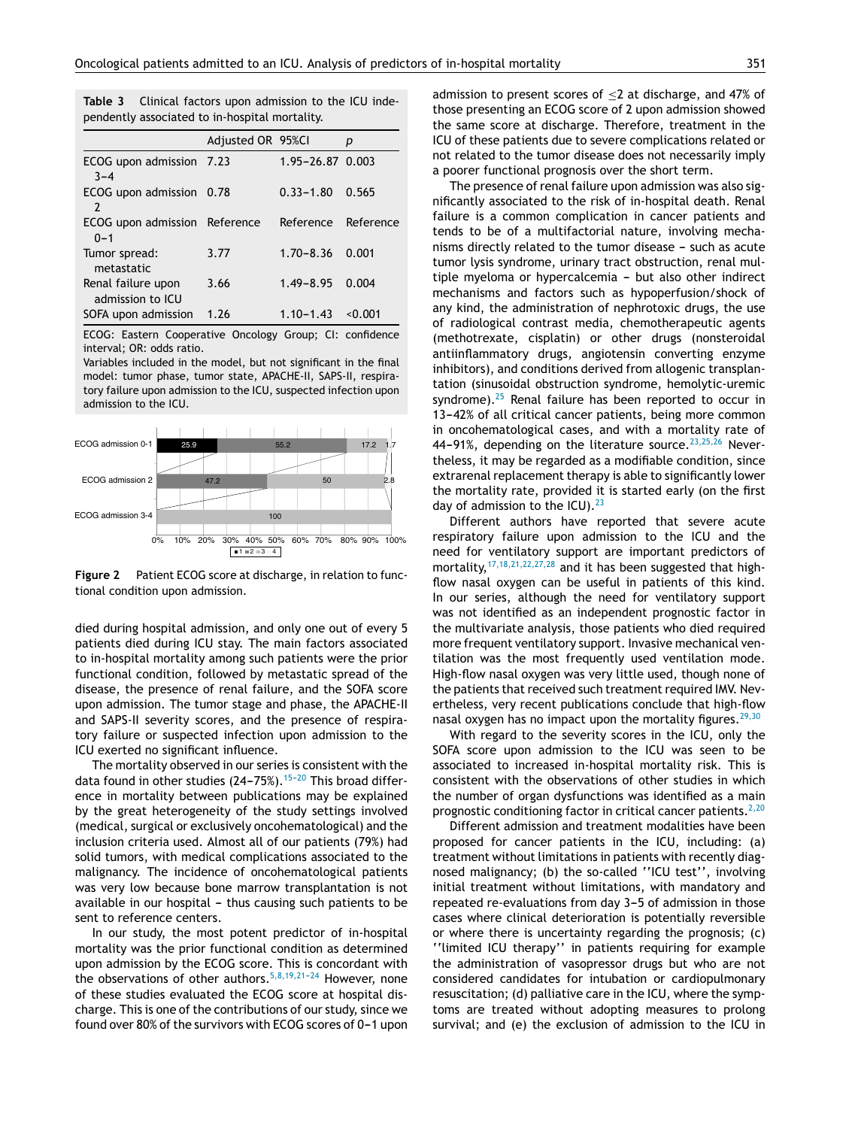<span id="page-5-0"></span>**Table 3** Clinical factors upon admission to the ICU independently associated to in-hospital mortality.

|                                          | Adjusted OR 95%CI |                  | р         |
|------------------------------------------|-------------------|------------------|-----------|
| ECOG upon admission 7.23<br>$3 - 4$      |                   | 1.95-26.87 0.003 |           |
| ECOG upon admission<br>2                 | 0.78              | $0.33 - 1.80$    | 0.565     |
| ECOG upon admission Reference<br>$0 - 1$ |                   | Reference        | Reference |
| Tumor spread:<br>metastatic              | 3.77              | $1.70 - 8.36$    | 0.001     |
| Renal failure upon<br>admission to ICU   | 3.66              | $1.49 - 8.95$    | 0.004     |
| SOFA upon admission                      | 1.26              | $1.10 - 1.43$    | < 0.001   |

ECOG: Eastern Cooperative Oncology Group; CI: confidence interval; OR: odds ratio.

Variables included in the model, but not significant in the final model: tumor phase, tumor state, APACHE-II, SAPS-II, respiratory failure upon admission to the ICU, suspected infection upon admission to the ICU.



**Figure 2** Patient ECOG score at discharge, in relation to functional condition upon admission.

died during hospital admission, and only one out of every 5 patients died during ICU stay. The main factors associated to in-hospital mortality among such patients were the prior functional condition, followed by metastatic spread of the disease, the presence of renal failure, and the SOFA score upon admission. The tumor stage and phase, the APACHE-II and SAPS-II severity scores, and the presence of respiratory failure or suspected infection upon admission to the ICU exerted no significant influence.

The mortality observed in our series is consistent with the data found in other studies  $(24-75\%)$ .<sup>15-20</sup> This broad difference in mortality between publications may be explained by the great heterogeneity of the study settings involved (medical, surgical or exclusively oncohematological) and the inclusion criteria used. Almost all of our patients (79%) had solid tumors, with medical complications associated to the malignancy. The incidence of oncohematological patients was very low because bone marrow transplantation is not available in our hospital  $-$  thus causing such patients to be sent to reference centers.

In our study, the most potent predictor of in-hospital mortality was the prior functional condition as determined upon admission by the ECOG score. This is concordant with the observations of other authors.  $5,8,19,21-24$  However, none of these studies evaluated the ECOG score at hospital discharge. This is one of the contributions of our study, since we found over 80% of the survivors with ECOG scores of 0-1 upon admission to present scores of ≤2 at discharge, and 47% of those presenting an ECOG score of 2 upon admission showed the same score at discharge. Therefore, treatment in the ICU of these patients due to severe complications related or not related to the tumor disease does not necessarily imply a poorer functional prognosis over the short term.

The presence of renal failure upon admission was also significantly associated to the risk of in-hospital death. Renal failure is a common complication in cancer patients and tends to be of a multifactorial nature, involving mechanisms directly related to the tumor disease - such as acute tumor lysis syndrome, urinary tract obstruction, renal multiple myeloma or hypercalcemia - but also other indirect mechanisms and factors such as hypoperfusion/shock of any kind, the administration of nephrotoxic drugs, the use of radiological contrast media, chemotherapeutic agents (methotrexate, cisplatin) or other drugs (nonsteroidal antiinflammatory drugs, angiotensin converting enzyme inhibitors), and conditions derived from allogenic transplantation (sinusoidal obstruction syndrome, hemolytic-uremic syndrome). $25$  Renal failure has been reported to occur in 13-42% of all critical cancer patients, being more common in oncohematological cases, and with a mortality rate of 44-91%, depending on the literature source.<sup>[23,25,26](#page-6-0)</sup> Nevertheless, it may be regarded as a modifiable condition, since extrarenal replacement therapy is able to significantly lower the mortality rate, provided it is started early (on the first day of admission to the  $ICU$ ).<sup>[23](#page-6-0)</sup>

Different authors have reported that severe acute respiratory failure upon admission to the ICU and the need for ventilatory support are important predictors of mortality,  $17,18,21,22,27,28$  and it has been suggested that highflow nasal oxygen can be useful in patients of this kind. In our series, although the need for ventilatory support was not identified as an independent prognostic factor in the multivariate analysis, those patients who died required more frequent ventilatory support. Invasive mechanical ventilation was the most frequently used ventilation mode. High-flow nasal oxygen was very little used, though none of the patients that received such treatment required IMV. Nevertheless, very recent publications conclude that high-flow nasal oxygen has no impact upon the mortality figures.  $29,30$ 

With regard to the severity scores in the ICU, only the SOFA score upon admission to the ICU was seen to be associated to increased in-hospital mortality risk. This is consistent with the observations of other studies in which the number of organ dysfunctions was identified as a main prognostic conditioning factor in critical cancer patients. $2,20$ 

Different admission and treatment modalities have been proposed for cancer patients in the ICU, including: (a) treatment without limitations in patients with recently diagnosed malignancy; (b) the so-called ''ICU test'', involving initial treatment without limitations, with mandatory and repeated re-evaluations from day 3-5 of admission in those cases where clinical deterioration is potentially reversible or where there is uncertainty regarding the prognosis; (c) ''limited ICU therapy'' in patients requiring for example the administration of vasopressor drugs but who are not considered candidates for intubation or cardiopulmonary resuscitation; (d) palliative care in the ICU, where the symptoms are treated without adopting measures to prolong survival; and (e) the exclusion of admission to the ICU in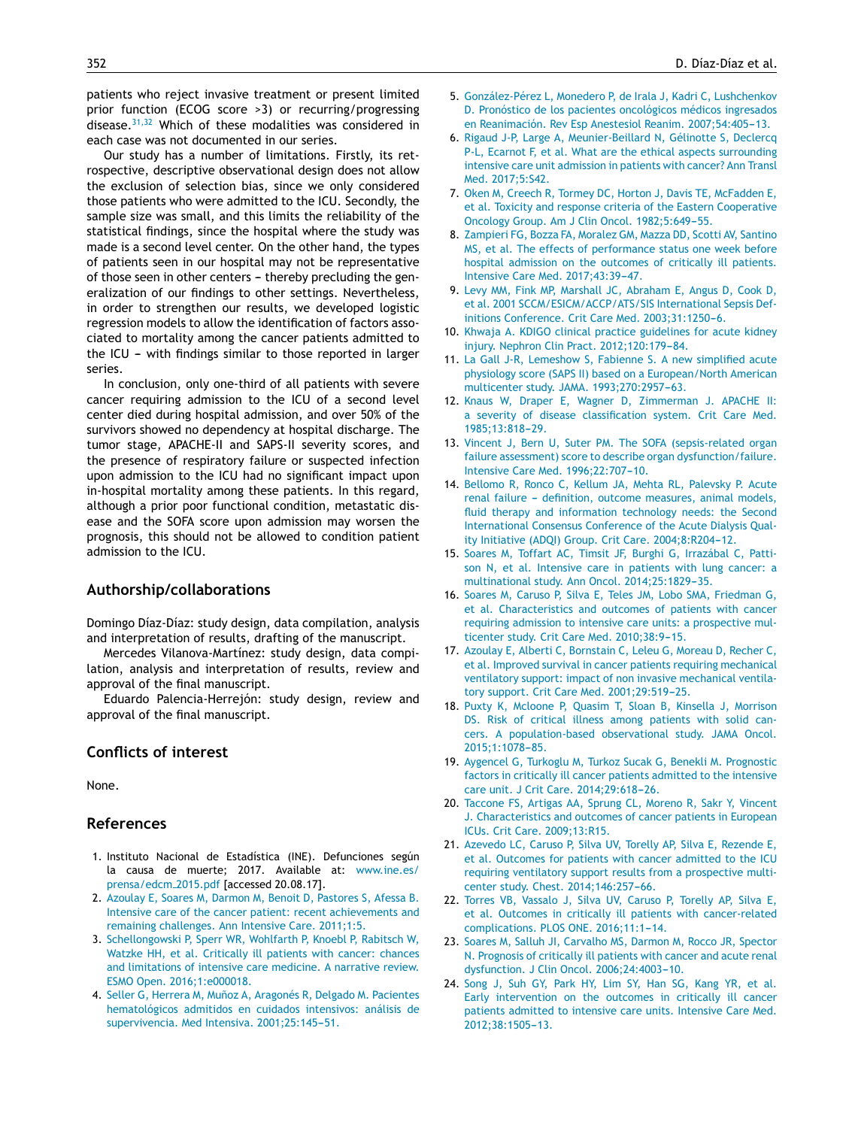<span id="page-6-0"></span>patients who reject invasive treatment or present limited prior function (ECOG score >3) or recurring/progressing disease.[31,32](#page-7-0) Which of these modalities was considered in each case was not documented in our series.

Our study has a number of limitations. Firstly, its retrospective, descriptive observational design does not allow the exclusion of selection bias, since we only considered those patients who were admitted to the ICU. Secondly, the sample size was small, and this limits the reliability of the statistical findings, since the hospital where the study was made is a second level center. On the other hand, the types of patients seen in our hospital may not be representative of those seen in other centers - thereby precluding the generalization of our findings to other settings. Nevertheless, in order to strengthen our results, we developed logistic regression models to allow the identification of factors associated to mortality among the cancer patients admitted to the ICU  $-$  with findings similar to those reported in larger series.

In conclusion, only one-third of all patients with severe cancer requiring admission to the ICU of a second level center died during hospital admission, and over 50% of the survivors showed no dependency at hospital discharge. The tumor stage, APACHE-II and SAPS-II severity scores, and the presence of respiratory failure or suspected infection upon admission to the ICU had no significant impact upon in-hospital mortality among these patients. In this regard, although a prior poor functional condition, metastatic disease and the SOFA score upon admission may worsen the prognosis, this should not be allowed to condition patient admission to the ICU.

## **Authorship/collaborations**

Domingo Díaz-Díaz: study design, data compilation, analysis and interpretation of results, drafting of the manuscript.

Mercedes Vilanova-Martínez: study design, data compilation, analysis and interpretation of results, review and approval of the final manuscript.

Eduardo Palencia-Herrejón: study design, review and approval of the final manuscript.

## **Conflicts of interest**

None.

# **References**

- 1. Instituto Nacional de Estadística (INE). Defunciones según la causa de muerte; 2017. Available at: [www.ine.es/](http://www.ine.es/prensa/edcm_2015.pdf) [prensa/edcm](http://www.ine.es/prensa/edcm_2015.pdf) 2015.pdf [accessed 20.08.17].
- 2. [Azoulay](http://refhub.elsevier.com/S2173-5727(18)30116-4/sbref0170) [E,](http://refhub.elsevier.com/S2173-5727(18)30116-4/sbref0170) [Soares](http://refhub.elsevier.com/S2173-5727(18)30116-4/sbref0170) [M,](http://refhub.elsevier.com/S2173-5727(18)30116-4/sbref0170) [Darmon](http://refhub.elsevier.com/S2173-5727(18)30116-4/sbref0170) [M,](http://refhub.elsevier.com/S2173-5727(18)30116-4/sbref0170) [Benoit](http://refhub.elsevier.com/S2173-5727(18)30116-4/sbref0170) [D,](http://refhub.elsevier.com/S2173-5727(18)30116-4/sbref0170) [Pastores](http://refhub.elsevier.com/S2173-5727(18)30116-4/sbref0170) [S,](http://refhub.elsevier.com/S2173-5727(18)30116-4/sbref0170) [Afessa](http://refhub.elsevier.com/S2173-5727(18)30116-4/sbref0170) [B.](http://refhub.elsevier.com/S2173-5727(18)30116-4/sbref0170) [Intensive](http://refhub.elsevier.com/S2173-5727(18)30116-4/sbref0170) [care](http://refhub.elsevier.com/S2173-5727(18)30116-4/sbref0170) [of](http://refhub.elsevier.com/S2173-5727(18)30116-4/sbref0170) [the](http://refhub.elsevier.com/S2173-5727(18)30116-4/sbref0170) [cancer](http://refhub.elsevier.com/S2173-5727(18)30116-4/sbref0170) [patient:](http://refhub.elsevier.com/S2173-5727(18)30116-4/sbref0170) [recent](http://refhub.elsevier.com/S2173-5727(18)30116-4/sbref0170) [achievements](http://refhub.elsevier.com/S2173-5727(18)30116-4/sbref0170) [and](http://refhub.elsevier.com/S2173-5727(18)30116-4/sbref0170) [remaining](http://refhub.elsevier.com/S2173-5727(18)30116-4/sbref0170) [challenges.](http://refhub.elsevier.com/S2173-5727(18)30116-4/sbref0170) [Ann](http://refhub.elsevier.com/S2173-5727(18)30116-4/sbref0170) [Intensive](http://refhub.elsevier.com/S2173-5727(18)30116-4/sbref0170) [Care.](http://refhub.elsevier.com/S2173-5727(18)30116-4/sbref0170) [2011;1:5.](http://refhub.elsevier.com/S2173-5727(18)30116-4/sbref0170)
- 3. [Schellongowski](http://refhub.elsevier.com/S2173-5727(18)30116-4/sbref0175) [P,](http://refhub.elsevier.com/S2173-5727(18)30116-4/sbref0175) [Sperr](http://refhub.elsevier.com/S2173-5727(18)30116-4/sbref0175) [WR,](http://refhub.elsevier.com/S2173-5727(18)30116-4/sbref0175) [Wohlfarth](http://refhub.elsevier.com/S2173-5727(18)30116-4/sbref0175) [P,](http://refhub.elsevier.com/S2173-5727(18)30116-4/sbref0175) [Knoebl](http://refhub.elsevier.com/S2173-5727(18)30116-4/sbref0175) [P,](http://refhub.elsevier.com/S2173-5727(18)30116-4/sbref0175) [Rabitsch](http://refhub.elsevier.com/S2173-5727(18)30116-4/sbref0175) [W,](http://refhub.elsevier.com/S2173-5727(18)30116-4/sbref0175) [Watzke](http://refhub.elsevier.com/S2173-5727(18)30116-4/sbref0175) [HH,](http://refhub.elsevier.com/S2173-5727(18)30116-4/sbref0175) [et](http://refhub.elsevier.com/S2173-5727(18)30116-4/sbref0175) [al.](http://refhub.elsevier.com/S2173-5727(18)30116-4/sbref0175) [Critically](http://refhub.elsevier.com/S2173-5727(18)30116-4/sbref0175) [ill](http://refhub.elsevier.com/S2173-5727(18)30116-4/sbref0175) [patients](http://refhub.elsevier.com/S2173-5727(18)30116-4/sbref0175) [with](http://refhub.elsevier.com/S2173-5727(18)30116-4/sbref0175) [cancer:](http://refhub.elsevier.com/S2173-5727(18)30116-4/sbref0175) [chances](http://refhub.elsevier.com/S2173-5727(18)30116-4/sbref0175) [and](http://refhub.elsevier.com/S2173-5727(18)30116-4/sbref0175) [limitations](http://refhub.elsevier.com/S2173-5727(18)30116-4/sbref0175) [of](http://refhub.elsevier.com/S2173-5727(18)30116-4/sbref0175) [intensive](http://refhub.elsevier.com/S2173-5727(18)30116-4/sbref0175) [care](http://refhub.elsevier.com/S2173-5727(18)30116-4/sbref0175) [medicine.](http://refhub.elsevier.com/S2173-5727(18)30116-4/sbref0175) [A](http://refhub.elsevier.com/S2173-5727(18)30116-4/sbref0175) [narrative](http://refhub.elsevier.com/S2173-5727(18)30116-4/sbref0175) [review.](http://refhub.elsevier.com/S2173-5727(18)30116-4/sbref0175) [ESMO](http://refhub.elsevier.com/S2173-5727(18)30116-4/sbref0175) [Open.](http://refhub.elsevier.com/S2173-5727(18)30116-4/sbref0175) [2016;1:e000018.](http://refhub.elsevier.com/S2173-5727(18)30116-4/sbref0175)
- 4. [Seller](http://refhub.elsevier.com/S2173-5727(18)30116-4/sbref0180) [G,](http://refhub.elsevier.com/S2173-5727(18)30116-4/sbref0180) [Herrera](http://refhub.elsevier.com/S2173-5727(18)30116-4/sbref0180) [M,](http://refhub.elsevier.com/S2173-5727(18)30116-4/sbref0180) Muñoz [A,](http://refhub.elsevier.com/S2173-5727(18)30116-4/sbref0180) [Aragonés](http://refhub.elsevier.com/S2173-5727(18)30116-4/sbref0180) [R,](http://refhub.elsevier.com/S2173-5727(18)30116-4/sbref0180) [Delgado](http://refhub.elsevier.com/S2173-5727(18)30116-4/sbref0180) [M.](http://refhub.elsevier.com/S2173-5727(18)30116-4/sbref0180) [Pacientes](http://refhub.elsevier.com/S2173-5727(18)30116-4/sbref0180) [hematológicos](http://refhub.elsevier.com/S2173-5727(18)30116-4/sbref0180) [admitidos](http://refhub.elsevier.com/S2173-5727(18)30116-4/sbref0180) [en](http://refhub.elsevier.com/S2173-5727(18)30116-4/sbref0180) [cuidados](http://refhub.elsevier.com/S2173-5727(18)30116-4/sbref0180) [intensivos:](http://refhub.elsevier.com/S2173-5727(18)30116-4/sbref0180) [análisis](http://refhub.elsevier.com/S2173-5727(18)30116-4/sbref0180) [de](http://refhub.elsevier.com/S2173-5727(18)30116-4/sbref0180) [supervivencia.](http://refhub.elsevier.com/S2173-5727(18)30116-4/sbref0180) [Med](http://refhub.elsevier.com/S2173-5727(18)30116-4/sbref0180) [Intensiva.](http://refhub.elsevier.com/S2173-5727(18)30116-4/sbref0180) 2001;25:145-51.
- 5. [González-Pérez](http://refhub.elsevier.com/S2173-5727(18)30116-4/sbref0185) [L,](http://refhub.elsevier.com/S2173-5727(18)30116-4/sbref0185) [Monedero](http://refhub.elsevier.com/S2173-5727(18)30116-4/sbref0185) [P,](http://refhub.elsevier.com/S2173-5727(18)30116-4/sbref0185) [de](http://refhub.elsevier.com/S2173-5727(18)30116-4/sbref0185) [Irala](http://refhub.elsevier.com/S2173-5727(18)30116-4/sbref0185) [J,](http://refhub.elsevier.com/S2173-5727(18)30116-4/sbref0185) [Kadri](http://refhub.elsevier.com/S2173-5727(18)30116-4/sbref0185) [C,](http://refhub.elsevier.com/S2173-5727(18)30116-4/sbref0185) [Lushchenkov](http://refhub.elsevier.com/S2173-5727(18)30116-4/sbref0185) [D.](http://refhub.elsevier.com/S2173-5727(18)30116-4/sbref0185) [Pronóstico](http://refhub.elsevier.com/S2173-5727(18)30116-4/sbref0185) [de](http://refhub.elsevier.com/S2173-5727(18)30116-4/sbref0185) [los](http://refhub.elsevier.com/S2173-5727(18)30116-4/sbref0185) [pacientes](http://refhub.elsevier.com/S2173-5727(18)30116-4/sbref0185) [oncológicos](http://refhub.elsevier.com/S2173-5727(18)30116-4/sbref0185) [médicos](http://refhub.elsevier.com/S2173-5727(18)30116-4/sbref0185) [ingresados](http://refhub.elsevier.com/S2173-5727(18)30116-4/sbref0185) [en](http://refhub.elsevier.com/S2173-5727(18)30116-4/sbref0185) [Reanimación.](http://refhub.elsevier.com/S2173-5727(18)30116-4/sbref0185) [Rev](http://refhub.elsevier.com/S2173-5727(18)30116-4/sbref0185) [Esp](http://refhub.elsevier.com/S2173-5727(18)30116-4/sbref0185) [Anestesiol](http://refhub.elsevier.com/S2173-5727(18)30116-4/sbref0185) [Reanim.](http://refhub.elsevier.com/S2173-5727(18)30116-4/sbref0185) 2007:54:405-13.
- 6. [Rigaud](http://refhub.elsevier.com/S2173-5727(18)30116-4/sbref0190) [J-P,](http://refhub.elsevier.com/S2173-5727(18)30116-4/sbref0190) [Large](http://refhub.elsevier.com/S2173-5727(18)30116-4/sbref0190) [A,](http://refhub.elsevier.com/S2173-5727(18)30116-4/sbref0190) [Meunier-Beillard](http://refhub.elsevier.com/S2173-5727(18)30116-4/sbref0190) [N,](http://refhub.elsevier.com/S2173-5727(18)30116-4/sbref0190) [Gélinotte](http://refhub.elsevier.com/S2173-5727(18)30116-4/sbref0190) [S,](http://refhub.elsevier.com/S2173-5727(18)30116-4/sbref0190) [Declercq](http://refhub.elsevier.com/S2173-5727(18)30116-4/sbref0190) [P-L,](http://refhub.elsevier.com/S2173-5727(18)30116-4/sbref0190) [Ecarnot](http://refhub.elsevier.com/S2173-5727(18)30116-4/sbref0190) [F,](http://refhub.elsevier.com/S2173-5727(18)30116-4/sbref0190) [et](http://refhub.elsevier.com/S2173-5727(18)30116-4/sbref0190) [al.](http://refhub.elsevier.com/S2173-5727(18)30116-4/sbref0190) [What](http://refhub.elsevier.com/S2173-5727(18)30116-4/sbref0190) [are](http://refhub.elsevier.com/S2173-5727(18)30116-4/sbref0190) [the](http://refhub.elsevier.com/S2173-5727(18)30116-4/sbref0190) [ethical](http://refhub.elsevier.com/S2173-5727(18)30116-4/sbref0190) [aspects](http://refhub.elsevier.com/S2173-5727(18)30116-4/sbref0190) [surrounding](http://refhub.elsevier.com/S2173-5727(18)30116-4/sbref0190) [intensive](http://refhub.elsevier.com/S2173-5727(18)30116-4/sbref0190) [care](http://refhub.elsevier.com/S2173-5727(18)30116-4/sbref0190) [unit](http://refhub.elsevier.com/S2173-5727(18)30116-4/sbref0190) [admission](http://refhub.elsevier.com/S2173-5727(18)30116-4/sbref0190) [in](http://refhub.elsevier.com/S2173-5727(18)30116-4/sbref0190) [patients](http://refhub.elsevier.com/S2173-5727(18)30116-4/sbref0190) [with](http://refhub.elsevier.com/S2173-5727(18)30116-4/sbref0190) [cancer?](http://refhub.elsevier.com/S2173-5727(18)30116-4/sbref0190) [Ann](http://refhub.elsevier.com/S2173-5727(18)30116-4/sbref0190) [Transl](http://refhub.elsevier.com/S2173-5727(18)30116-4/sbref0190) [Med.](http://refhub.elsevier.com/S2173-5727(18)30116-4/sbref0190) [2017;5:S42.](http://refhub.elsevier.com/S2173-5727(18)30116-4/sbref0190)
- 7. [Oken](http://refhub.elsevier.com/S2173-5727(18)30116-4/sbref0195) [M,](http://refhub.elsevier.com/S2173-5727(18)30116-4/sbref0195) [Creech](http://refhub.elsevier.com/S2173-5727(18)30116-4/sbref0195) [R,](http://refhub.elsevier.com/S2173-5727(18)30116-4/sbref0195) [Tormey](http://refhub.elsevier.com/S2173-5727(18)30116-4/sbref0195) [DC,](http://refhub.elsevier.com/S2173-5727(18)30116-4/sbref0195) [Horton](http://refhub.elsevier.com/S2173-5727(18)30116-4/sbref0195) [J,](http://refhub.elsevier.com/S2173-5727(18)30116-4/sbref0195) [Davis](http://refhub.elsevier.com/S2173-5727(18)30116-4/sbref0195) [TE,](http://refhub.elsevier.com/S2173-5727(18)30116-4/sbref0195) [McFadden](http://refhub.elsevier.com/S2173-5727(18)30116-4/sbref0195) [E,](http://refhub.elsevier.com/S2173-5727(18)30116-4/sbref0195) [et](http://refhub.elsevier.com/S2173-5727(18)30116-4/sbref0195) [al.](http://refhub.elsevier.com/S2173-5727(18)30116-4/sbref0195) [Toxicity](http://refhub.elsevier.com/S2173-5727(18)30116-4/sbref0195) [and](http://refhub.elsevier.com/S2173-5727(18)30116-4/sbref0195) [response](http://refhub.elsevier.com/S2173-5727(18)30116-4/sbref0195) [criteria](http://refhub.elsevier.com/S2173-5727(18)30116-4/sbref0195) [of](http://refhub.elsevier.com/S2173-5727(18)30116-4/sbref0195) [the](http://refhub.elsevier.com/S2173-5727(18)30116-4/sbref0195) [Eastern](http://refhub.elsevier.com/S2173-5727(18)30116-4/sbref0195) [Cooperative](http://refhub.elsevier.com/S2173-5727(18)30116-4/sbref0195) [Oncology](http://refhub.elsevier.com/S2173-5727(18)30116-4/sbref0195) [Group.](http://refhub.elsevier.com/S2173-5727(18)30116-4/sbref0195) [Am](http://refhub.elsevier.com/S2173-5727(18)30116-4/sbref0195) [J](http://refhub.elsevier.com/S2173-5727(18)30116-4/sbref0195) [Clin](http://refhub.elsevier.com/S2173-5727(18)30116-4/sbref0195) [Oncol.](http://refhub.elsevier.com/S2173-5727(18)30116-4/sbref0195) 1982;5:649-55.
- 8. [Zampieri](http://refhub.elsevier.com/S2173-5727(18)30116-4/sbref0200) [FG,](http://refhub.elsevier.com/S2173-5727(18)30116-4/sbref0200) [Bozza](http://refhub.elsevier.com/S2173-5727(18)30116-4/sbref0200) [FA,](http://refhub.elsevier.com/S2173-5727(18)30116-4/sbref0200) [Moralez](http://refhub.elsevier.com/S2173-5727(18)30116-4/sbref0200) [GM,](http://refhub.elsevier.com/S2173-5727(18)30116-4/sbref0200) [Mazza](http://refhub.elsevier.com/S2173-5727(18)30116-4/sbref0200) [DD,](http://refhub.elsevier.com/S2173-5727(18)30116-4/sbref0200) [Scotti](http://refhub.elsevier.com/S2173-5727(18)30116-4/sbref0200) [AV,](http://refhub.elsevier.com/S2173-5727(18)30116-4/sbref0200) [Santino](http://refhub.elsevier.com/S2173-5727(18)30116-4/sbref0200) [MS,](http://refhub.elsevier.com/S2173-5727(18)30116-4/sbref0200) [et](http://refhub.elsevier.com/S2173-5727(18)30116-4/sbref0200) [al.](http://refhub.elsevier.com/S2173-5727(18)30116-4/sbref0200) [The](http://refhub.elsevier.com/S2173-5727(18)30116-4/sbref0200) [effects](http://refhub.elsevier.com/S2173-5727(18)30116-4/sbref0200) [of](http://refhub.elsevier.com/S2173-5727(18)30116-4/sbref0200) [performance](http://refhub.elsevier.com/S2173-5727(18)30116-4/sbref0200) [status](http://refhub.elsevier.com/S2173-5727(18)30116-4/sbref0200) [one](http://refhub.elsevier.com/S2173-5727(18)30116-4/sbref0200) [week](http://refhub.elsevier.com/S2173-5727(18)30116-4/sbref0200) [before](http://refhub.elsevier.com/S2173-5727(18)30116-4/sbref0200) [hospital](http://refhub.elsevier.com/S2173-5727(18)30116-4/sbref0200) [admission](http://refhub.elsevier.com/S2173-5727(18)30116-4/sbref0200) [on](http://refhub.elsevier.com/S2173-5727(18)30116-4/sbref0200) [the](http://refhub.elsevier.com/S2173-5727(18)30116-4/sbref0200) [outcomes](http://refhub.elsevier.com/S2173-5727(18)30116-4/sbref0200) [of](http://refhub.elsevier.com/S2173-5727(18)30116-4/sbref0200) [critically](http://refhub.elsevier.com/S2173-5727(18)30116-4/sbref0200) [ill](http://refhub.elsevier.com/S2173-5727(18)30116-4/sbref0200) [patients.](http://refhub.elsevier.com/S2173-5727(18)30116-4/sbref0200) [Intensive](http://refhub.elsevier.com/S2173-5727(18)30116-4/sbref0200) [Care](http://refhub.elsevier.com/S2173-5727(18)30116-4/sbref0200) [Med.](http://refhub.elsevier.com/S2173-5727(18)30116-4/sbref0200) [2017;43:39](http://refhub.elsevier.com/S2173-5727(18)30116-4/sbref0200)-[47.](http://refhub.elsevier.com/S2173-5727(18)30116-4/sbref0200)
- 9. [Levy](http://refhub.elsevier.com/S2173-5727(18)30116-4/sbref0205) [MM,](http://refhub.elsevier.com/S2173-5727(18)30116-4/sbref0205) [Fink](http://refhub.elsevier.com/S2173-5727(18)30116-4/sbref0205) [MP,](http://refhub.elsevier.com/S2173-5727(18)30116-4/sbref0205) [Marshall](http://refhub.elsevier.com/S2173-5727(18)30116-4/sbref0205) [JC,](http://refhub.elsevier.com/S2173-5727(18)30116-4/sbref0205) [Abraham](http://refhub.elsevier.com/S2173-5727(18)30116-4/sbref0205) [E,](http://refhub.elsevier.com/S2173-5727(18)30116-4/sbref0205) [Angus](http://refhub.elsevier.com/S2173-5727(18)30116-4/sbref0205) [D,](http://refhub.elsevier.com/S2173-5727(18)30116-4/sbref0205) [Cook](http://refhub.elsevier.com/S2173-5727(18)30116-4/sbref0205) [D,](http://refhub.elsevier.com/S2173-5727(18)30116-4/sbref0205) [et](http://refhub.elsevier.com/S2173-5727(18)30116-4/sbref0205) [al.](http://refhub.elsevier.com/S2173-5727(18)30116-4/sbref0205) [2001](http://refhub.elsevier.com/S2173-5727(18)30116-4/sbref0205) [SCCM/ESICM/ACCP/ATS/SIS](http://refhub.elsevier.com/S2173-5727(18)30116-4/sbref0205) [International](http://refhub.elsevier.com/S2173-5727(18)30116-4/sbref0205) [Sepsis](http://refhub.elsevier.com/S2173-5727(18)30116-4/sbref0205) [Def](http://refhub.elsevier.com/S2173-5727(18)30116-4/sbref0205)[initions](http://refhub.elsevier.com/S2173-5727(18)30116-4/sbref0205) [Conference.](http://refhub.elsevier.com/S2173-5727(18)30116-4/sbref0205) [Crit](http://refhub.elsevier.com/S2173-5727(18)30116-4/sbref0205) [Care](http://refhub.elsevier.com/S2173-5727(18)30116-4/sbref0205) [Med.](http://refhub.elsevier.com/S2173-5727(18)30116-4/sbref0205) 2003:31:1250-[6.](http://refhub.elsevier.com/S2173-5727(18)30116-4/sbref0205)
- 10. [Khwaja](http://refhub.elsevier.com/S2173-5727(18)30116-4/sbref0210) [A.](http://refhub.elsevier.com/S2173-5727(18)30116-4/sbref0210) [KDIGO](http://refhub.elsevier.com/S2173-5727(18)30116-4/sbref0210) [clinical](http://refhub.elsevier.com/S2173-5727(18)30116-4/sbref0210) [practice](http://refhub.elsevier.com/S2173-5727(18)30116-4/sbref0210) [guidelines](http://refhub.elsevier.com/S2173-5727(18)30116-4/sbref0210) [for](http://refhub.elsevier.com/S2173-5727(18)30116-4/sbref0210) [acute](http://refhub.elsevier.com/S2173-5727(18)30116-4/sbref0210) [kidney](http://refhub.elsevier.com/S2173-5727(18)30116-4/sbref0210) [injury.](http://refhub.elsevier.com/S2173-5727(18)30116-4/sbref0210) [Nephron](http://refhub.elsevier.com/S2173-5727(18)30116-4/sbref0210) [Clin](http://refhub.elsevier.com/S2173-5727(18)30116-4/sbref0210) [Pract.](http://refhub.elsevier.com/S2173-5727(18)30116-4/sbref0210) [2012;120:179](http://refhub.elsevier.com/S2173-5727(18)30116-4/sbref0210)-[84.](http://refhub.elsevier.com/S2173-5727(18)30116-4/sbref0210)
- 11. [La](http://refhub.elsevier.com/S2173-5727(18)30116-4/sbref0215) [Gall](http://refhub.elsevier.com/S2173-5727(18)30116-4/sbref0215) [J-R,](http://refhub.elsevier.com/S2173-5727(18)30116-4/sbref0215) [Lemeshow](http://refhub.elsevier.com/S2173-5727(18)30116-4/sbref0215) [S,](http://refhub.elsevier.com/S2173-5727(18)30116-4/sbref0215) [Fabienne](http://refhub.elsevier.com/S2173-5727(18)30116-4/sbref0215) [S.](http://refhub.elsevier.com/S2173-5727(18)30116-4/sbref0215) [A](http://refhub.elsevier.com/S2173-5727(18)30116-4/sbref0215) [new](http://refhub.elsevier.com/S2173-5727(18)30116-4/sbref0215) [simplified](http://refhub.elsevier.com/S2173-5727(18)30116-4/sbref0215) [acute](http://refhub.elsevier.com/S2173-5727(18)30116-4/sbref0215) [physiology](http://refhub.elsevier.com/S2173-5727(18)30116-4/sbref0215) [score](http://refhub.elsevier.com/S2173-5727(18)30116-4/sbref0215) [\(SAPS](http://refhub.elsevier.com/S2173-5727(18)30116-4/sbref0215) [II\)](http://refhub.elsevier.com/S2173-5727(18)30116-4/sbref0215) [based](http://refhub.elsevier.com/S2173-5727(18)30116-4/sbref0215) [on](http://refhub.elsevier.com/S2173-5727(18)30116-4/sbref0215) [a](http://refhub.elsevier.com/S2173-5727(18)30116-4/sbref0215) [European/North](http://refhub.elsevier.com/S2173-5727(18)30116-4/sbref0215) [American](http://refhub.elsevier.com/S2173-5727(18)30116-4/sbref0215) [multicenter](http://refhub.elsevier.com/S2173-5727(18)30116-4/sbref0215) [study.](http://refhub.elsevier.com/S2173-5727(18)30116-4/sbref0215) [JAMA.](http://refhub.elsevier.com/S2173-5727(18)30116-4/sbref0215) 1993;270:2957-63.
- 12. [Knaus](http://refhub.elsevier.com/S2173-5727(18)30116-4/sbref0220) [W,](http://refhub.elsevier.com/S2173-5727(18)30116-4/sbref0220) [Draper](http://refhub.elsevier.com/S2173-5727(18)30116-4/sbref0220) [E,](http://refhub.elsevier.com/S2173-5727(18)30116-4/sbref0220) [Wagner](http://refhub.elsevier.com/S2173-5727(18)30116-4/sbref0220) [D,](http://refhub.elsevier.com/S2173-5727(18)30116-4/sbref0220) [Zimmerman](http://refhub.elsevier.com/S2173-5727(18)30116-4/sbref0220) [J.](http://refhub.elsevier.com/S2173-5727(18)30116-4/sbref0220) [APACHE](http://refhub.elsevier.com/S2173-5727(18)30116-4/sbref0220) [II:](http://refhub.elsevier.com/S2173-5727(18)30116-4/sbref0220) [a](http://refhub.elsevier.com/S2173-5727(18)30116-4/sbref0220) [severity](http://refhub.elsevier.com/S2173-5727(18)30116-4/sbref0220) [of](http://refhub.elsevier.com/S2173-5727(18)30116-4/sbref0220) [disease](http://refhub.elsevier.com/S2173-5727(18)30116-4/sbref0220) [classification](http://refhub.elsevier.com/S2173-5727(18)30116-4/sbref0220) [system.](http://refhub.elsevier.com/S2173-5727(18)30116-4/sbref0220) [Crit](http://refhub.elsevier.com/S2173-5727(18)30116-4/sbref0220) [Care](http://refhub.elsevier.com/S2173-5727(18)30116-4/sbref0220) [Med.](http://refhub.elsevier.com/S2173-5727(18)30116-4/sbref0220) 1985:13:818-29.
- 13. [Vincent](http://refhub.elsevier.com/S2173-5727(18)30116-4/sbref0225) [J,](http://refhub.elsevier.com/S2173-5727(18)30116-4/sbref0225) [Bern](http://refhub.elsevier.com/S2173-5727(18)30116-4/sbref0225) [U,](http://refhub.elsevier.com/S2173-5727(18)30116-4/sbref0225) [Suter](http://refhub.elsevier.com/S2173-5727(18)30116-4/sbref0225) [PM.](http://refhub.elsevier.com/S2173-5727(18)30116-4/sbref0225) [The](http://refhub.elsevier.com/S2173-5727(18)30116-4/sbref0225) [SOFA](http://refhub.elsevier.com/S2173-5727(18)30116-4/sbref0225) [\(sepsis-related](http://refhub.elsevier.com/S2173-5727(18)30116-4/sbref0225) [organ](http://refhub.elsevier.com/S2173-5727(18)30116-4/sbref0225) [failure](http://refhub.elsevier.com/S2173-5727(18)30116-4/sbref0225) [assessment\)](http://refhub.elsevier.com/S2173-5727(18)30116-4/sbref0225) [score](http://refhub.elsevier.com/S2173-5727(18)30116-4/sbref0225) [to](http://refhub.elsevier.com/S2173-5727(18)30116-4/sbref0225) [describe](http://refhub.elsevier.com/S2173-5727(18)30116-4/sbref0225) [organ](http://refhub.elsevier.com/S2173-5727(18)30116-4/sbref0225) [dysfunction/failure.](http://refhub.elsevier.com/S2173-5727(18)30116-4/sbref0225) [Intensive](http://refhub.elsevier.com/S2173-5727(18)30116-4/sbref0225) [Care](http://refhub.elsevier.com/S2173-5727(18)30116-4/sbref0225) [Med.](http://refhub.elsevier.com/S2173-5727(18)30116-4/sbref0225) 1996;22:707-10.
- 14. [Bellomo](http://refhub.elsevier.com/S2173-5727(18)30116-4/sbref0230) [R,](http://refhub.elsevier.com/S2173-5727(18)30116-4/sbref0230) [Ronco](http://refhub.elsevier.com/S2173-5727(18)30116-4/sbref0230) [C,](http://refhub.elsevier.com/S2173-5727(18)30116-4/sbref0230) [Kellum](http://refhub.elsevier.com/S2173-5727(18)30116-4/sbref0230) [JA,](http://refhub.elsevier.com/S2173-5727(18)30116-4/sbref0230) [Mehta](http://refhub.elsevier.com/S2173-5727(18)30116-4/sbref0230) [RL,](http://refhub.elsevier.com/S2173-5727(18)30116-4/sbref0230) [Palevsky](http://refhub.elsevier.com/S2173-5727(18)30116-4/sbref0230) [P.](http://refhub.elsevier.com/S2173-5727(18)30116-4/sbref0230) [Acute](http://refhub.elsevier.com/S2173-5727(18)30116-4/sbref0230) [renal](http://refhub.elsevier.com/S2173-5727(18)30116-4/sbref0230) [failure](http://refhub.elsevier.com/S2173-5727(18)30116-4/sbref0230) - [definition,](http://refhub.elsevier.com/S2173-5727(18)30116-4/sbref0230) [outcome](http://refhub.elsevier.com/S2173-5727(18)30116-4/sbref0230) [measures,](http://refhub.elsevier.com/S2173-5727(18)30116-4/sbref0230) [animal](http://refhub.elsevier.com/S2173-5727(18)30116-4/sbref0230) [models,](http://refhub.elsevier.com/S2173-5727(18)30116-4/sbref0230) [fluid](http://refhub.elsevier.com/S2173-5727(18)30116-4/sbref0230) [therapy](http://refhub.elsevier.com/S2173-5727(18)30116-4/sbref0230) [and](http://refhub.elsevier.com/S2173-5727(18)30116-4/sbref0230) [information](http://refhub.elsevier.com/S2173-5727(18)30116-4/sbref0230) [technology](http://refhub.elsevier.com/S2173-5727(18)30116-4/sbref0230) [needs:](http://refhub.elsevier.com/S2173-5727(18)30116-4/sbref0230) [the](http://refhub.elsevier.com/S2173-5727(18)30116-4/sbref0230) [Second](http://refhub.elsevier.com/S2173-5727(18)30116-4/sbref0230) [International](http://refhub.elsevier.com/S2173-5727(18)30116-4/sbref0230) [Consensus](http://refhub.elsevier.com/S2173-5727(18)30116-4/sbref0230) [Conference](http://refhub.elsevier.com/S2173-5727(18)30116-4/sbref0230) [of](http://refhub.elsevier.com/S2173-5727(18)30116-4/sbref0230) [the](http://refhub.elsevier.com/S2173-5727(18)30116-4/sbref0230) [Acute](http://refhub.elsevier.com/S2173-5727(18)30116-4/sbref0230) [Dialysis](http://refhub.elsevier.com/S2173-5727(18)30116-4/sbref0230) [Qual](http://refhub.elsevier.com/S2173-5727(18)30116-4/sbref0230)[ity](http://refhub.elsevier.com/S2173-5727(18)30116-4/sbref0230) [Initiative](http://refhub.elsevier.com/S2173-5727(18)30116-4/sbref0230) [\(ADQI\)](http://refhub.elsevier.com/S2173-5727(18)30116-4/sbref0230) [Group.](http://refhub.elsevier.com/S2173-5727(18)30116-4/sbref0230) [Crit](http://refhub.elsevier.com/S2173-5727(18)30116-4/sbref0230) [Care.](http://refhub.elsevier.com/S2173-5727(18)30116-4/sbref0230) 2004;8:R204-12.
- 15. [Soares](http://refhub.elsevier.com/S2173-5727(18)30116-4/sbref0235) [M,](http://refhub.elsevier.com/S2173-5727(18)30116-4/sbref0235) [Toffart](http://refhub.elsevier.com/S2173-5727(18)30116-4/sbref0235) [AC,](http://refhub.elsevier.com/S2173-5727(18)30116-4/sbref0235) [Timsit](http://refhub.elsevier.com/S2173-5727(18)30116-4/sbref0235) [JF,](http://refhub.elsevier.com/S2173-5727(18)30116-4/sbref0235) [Burghi](http://refhub.elsevier.com/S2173-5727(18)30116-4/sbref0235) [G,](http://refhub.elsevier.com/S2173-5727(18)30116-4/sbref0235) [Irrazábal](http://refhub.elsevier.com/S2173-5727(18)30116-4/sbref0235) [C,](http://refhub.elsevier.com/S2173-5727(18)30116-4/sbref0235) [Patti](http://refhub.elsevier.com/S2173-5727(18)30116-4/sbref0235)[son](http://refhub.elsevier.com/S2173-5727(18)30116-4/sbref0235) [N,](http://refhub.elsevier.com/S2173-5727(18)30116-4/sbref0235) [et](http://refhub.elsevier.com/S2173-5727(18)30116-4/sbref0235) [al.](http://refhub.elsevier.com/S2173-5727(18)30116-4/sbref0235) [Intensive](http://refhub.elsevier.com/S2173-5727(18)30116-4/sbref0235) [care](http://refhub.elsevier.com/S2173-5727(18)30116-4/sbref0235) [in](http://refhub.elsevier.com/S2173-5727(18)30116-4/sbref0235) [patients](http://refhub.elsevier.com/S2173-5727(18)30116-4/sbref0235) [with](http://refhub.elsevier.com/S2173-5727(18)30116-4/sbref0235) [lung](http://refhub.elsevier.com/S2173-5727(18)30116-4/sbref0235) [cancer:](http://refhub.elsevier.com/S2173-5727(18)30116-4/sbref0235) [a](http://refhub.elsevier.com/S2173-5727(18)30116-4/sbref0235) [multinational](http://refhub.elsevier.com/S2173-5727(18)30116-4/sbref0235) [study.](http://refhub.elsevier.com/S2173-5727(18)30116-4/sbref0235) [Ann](http://refhub.elsevier.com/S2173-5727(18)30116-4/sbref0235) [Oncol.](http://refhub.elsevier.com/S2173-5727(18)30116-4/sbref0235) 2014;25:1829-35.
- 16. [Soares](http://refhub.elsevier.com/S2173-5727(18)30116-4/sbref0240) [M,](http://refhub.elsevier.com/S2173-5727(18)30116-4/sbref0240) [Caruso](http://refhub.elsevier.com/S2173-5727(18)30116-4/sbref0240) [P,](http://refhub.elsevier.com/S2173-5727(18)30116-4/sbref0240) [Silva](http://refhub.elsevier.com/S2173-5727(18)30116-4/sbref0240) [E,](http://refhub.elsevier.com/S2173-5727(18)30116-4/sbref0240) [Teles](http://refhub.elsevier.com/S2173-5727(18)30116-4/sbref0240) [JM,](http://refhub.elsevier.com/S2173-5727(18)30116-4/sbref0240) [Lobo](http://refhub.elsevier.com/S2173-5727(18)30116-4/sbref0240) [SMA,](http://refhub.elsevier.com/S2173-5727(18)30116-4/sbref0240) [Friedman](http://refhub.elsevier.com/S2173-5727(18)30116-4/sbref0240) [G,](http://refhub.elsevier.com/S2173-5727(18)30116-4/sbref0240) [et](http://refhub.elsevier.com/S2173-5727(18)30116-4/sbref0240) [al.](http://refhub.elsevier.com/S2173-5727(18)30116-4/sbref0240) [Characteristics](http://refhub.elsevier.com/S2173-5727(18)30116-4/sbref0240) [and](http://refhub.elsevier.com/S2173-5727(18)30116-4/sbref0240) [outcomes](http://refhub.elsevier.com/S2173-5727(18)30116-4/sbref0240) [of](http://refhub.elsevier.com/S2173-5727(18)30116-4/sbref0240) [patients](http://refhub.elsevier.com/S2173-5727(18)30116-4/sbref0240) [with](http://refhub.elsevier.com/S2173-5727(18)30116-4/sbref0240) [cancer](http://refhub.elsevier.com/S2173-5727(18)30116-4/sbref0240) [requiring](http://refhub.elsevier.com/S2173-5727(18)30116-4/sbref0240) [admission](http://refhub.elsevier.com/S2173-5727(18)30116-4/sbref0240) [to](http://refhub.elsevier.com/S2173-5727(18)30116-4/sbref0240) [intensive](http://refhub.elsevier.com/S2173-5727(18)30116-4/sbref0240) [care](http://refhub.elsevier.com/S2173-5727(18)30116-4/sbref0240) [units:](http://refhub.elsevier.com/S2173-5727(18)30116-4/sbref0240) [a](http://refhub.elsevier.com/S2173-5727(18)30116-4/sbref0240) [prospective](http://refhub.elsevier.com/S2173-5727(18)30116-4/sbref0240) [mul](http://refhub.elsevier.com/S2173-5727(18)30116-4/sbref0240)[ticenter](http://refhub.elsevier.com/S2173-5727(18)30116-4/sbref0240) [study.](http://refhub.elsevier.com/S2173-5727(18)30116-4/sbref0240) [Crit](http://refhub.elsevier.com/S2173-5727(18)30116-4/sbref0240) [Care](http://refhub.elsevier.com/S2173-5727(18)30116-4/sbref0240) [Med.](http://refhub.elsevier.com/S2173-5727(18)30116-4/sbref0240) [2010;38:9](http://refhub.elsevier.com/S2173-5727(18)30116-4/sbref0240)-[15.](http://refhub.elsevier.com/S2173-5727(18)30116-4/sbref0240)
- 17. [Azoulay](http://refhub.elsevier.com/S2173-5727(18)30116-4/sbref0245) [E,](http://refhub.elsevier.com/S2173-5727(18)30116-4/sbref0245) [Alberti](http://refhub.elsevier.com/S2173-5727(18)30116-4/sbref0245) [C,](http://refhub.elsevier.com/S2173-5727(18)30116-4/sbref0245) [Bornstain](http://refhub.elsevier.com/S2173-5727(18)30116-4/sbref0245) [C,](http://refhub.elsevier.com/S2173-5727(18)30116-4/sbref0245) [Leleu](http://refhub.elsevier.com/S2173-5727(18)30116-4/sbref0245) [G,](http://refhub.elsevier.com/S2173-5727(18)30116-4/sbref0245) [Moreau](http://refhub.elsevier.com/S2173-5727(18)30116-4/sbref0245) [D,](http://refhub.elsevier.com/S2173-5727(18)30116-4/sbref0245) [Recher](http://refhub.elsevier.com/S2173-5727(18)30116-4/sbref0245) [C,](http://refhub.elsevier.com/S2173-5727(18)30116-4/sbref0245) [et](http://refhub.elsevier.com/S2173-5727(18)30116-4/sbref0245) [al.](http://refhub.elsevier.com/S2173-5727(18)30116-4/sbref0245) [Improved](http://refhub.elsevier.com/S2173-5727(18)30116-4/sbref0245) [survival](http://refhub.elsevier.com/S2173-5727(18)30116-4/sbref0245) [in](http://refhub.elsevier.com/S2173-5727(18)30116-4/sbref0245) [cancer](http://refhub.elsevier.com/S2173-5727(18)30116-4/sbref0245) [patients](http://refhub.elsevier.com/S2173-5727(18)30116-4/sbref0245) [requiring](http://refhub.elsevier.com/S2173-5727(18)30116-4/sbref0245) [mechanical](http://refhub.elsevier.com/S2173-5727(18)30116-4/sbref0245) [ventilatory](http://refhub.elsevier.com/S2173-5727(18)30116-4/sbref0245) [support:](http://refhub.elsevier.com/S2173-5727(18)30116-4/sbref0245) [impact](http://refhub.elsevier.com/S2173-5727(18)30116-4/sbref0245) [of](http://refhub.elsevier.com/S2173-5727(18)30116-4/sbref0245) [non](http://refhub.elsevier.com/S2173-5727(18)30116-4/sbref0245) [invasive](http://refhub.elsevier.com/S2173-5727(18)30116-4/sbref0245) [mechanical](http://refhub.elsevier.com/S2173-5727(18)30116-4/sbref0245) [ventila](http://refhub.elsevier.com/S2173-5727(18)30116-4/sbref0245)[tory](http://refhub.elsevier.com/S2173-5727(18)30116-4/sbref0245) [support.](http://refhub.elsevier.com/S2173-5727(18)30116-4/sbref0245) [Crit](http://refhub.elsevier.com/S2173-5727(18)30116-4/sbref0245) [Care](http://refhub.elsevier.com/S2173-5727(18)30116-4/sbref0245) [Med.](http://refhub.elsevier.com/S2173-5727(18)30116-4/sbref0245) [2001;29:519](http://refhub.elsevier.com/S2173-5727(18)30116-4/sbref0245)-[25.](http://refhub.elsevier.com/S2173-5727(18)30116-4/sbref0245)
- 18. [Puxty](http://refhub.elsevier.com/S2173-5727(18)30116-4/sbref0250) [K,](http://refhub.elsevier.com/S2173-5727(18)30116-4/sbref0250) [Mcloone](http://refhub.elsevier.com/S2173-5727(18)30116-4/sbref0250) [P,](http://refhub.elsevier.com/S2173-5727(18)30116-4/sbref0250) [Quasim](http://refhub.elsevier.com/S2173-5727(18)30116-4/sbref0250) [T,](http://refhub.elsevier.com/S2173-5727(18)30116-4/sbref0250) [Sloan](http://refhub.elsevier.com/S2173-5727(18)30116-4/sbref0250) [B,](http://refhub.elsevier.com/S2173-5727(18)30116-4/sbref0250) [Kinsella](http://refhub.elsevier.com/S2173-5727(18)30116-4/sbref0250) [J,](http://refhub.elsevier.com/S2173-5727(18)30116-4/sbref0250) [Morrison](http://refhub.elsevier.com/S2173-5727(18)30116-4/sbref0250) [DS.](http://refhub.elsevier.com/S2173-5727(18)30116-4/sbref0250) [Risk](http://refhub.elsevier.com/S2173-5727(18)30116-4/sbref0250) [of](http://refhub.elsevier.com/S2173-5727(18)30116-4/sbref0250) [critical](http://refhub.elsevier.com/S2173-5727(18)30116-4/sbref0250) [illness](http://refhub.elsevier.com/S2173-5727(18)30116-4/sbref0250) [among](http://refhub.elsevier.com/S2173-5727(18)30116-4/sbref0250) [patients](http://refhub.elsevier.com/S2173-5727(18)30116-4/sbref0250) [with](http://refhub.elsevier.com/S2173-5727(18)30116-4/sbref0250) [solid](http://refhub.elsevier.com/S2173-5727(18)30116-4/sbref0250) [can](http://refhub.elsevier.com/S2173-5727(18)30116-4/sbref0250)[cers.](http://refhub.elsevier.com/S2173-5727(18)30116-4/sbref0250) [A](http://refhub.elsevier.com/S2173-5727(18)30116-4/sbref0250) [population-based](http://refhub.elsevier.com/S2173-5727(18)30116-4/sbref0250) [observational](http://refhub.elsevier.com/S2173-5727(18)30116-4/sbref0250) [study.](http://refhub.elsevier.com/S2173-5727(18)30116-4/sbref0250) [JAMA](http://refhub.elsevier.com/S2173-5727(18)30116-4/sbref0250) [Oncol.](http://refhub.elsevier.com/S2173-5727(18)30116-4/sbref0250) 2015;1:1078-85.
- 19. [Aygencel](http://refhub.elsevier.com/S2173-5727(18)30116-4/sbref0255) [G,](http://refhub.elsevier.com/S2173-5727(18)30116-4/sbref0255) [Turkoglu](http://refhub.elsevier.com/S2173-5727(18)30116-4/sbref0255) [M,](http://refhub.elsevier.com/S2173-5727(18)30116-4/sbref0255) [Turkoz](http://refhub.elsevier.com/S2173-5727(18)30116-4/sbref0255) [Sucak](http://refhub.elsevier.com/S2173-5727(18)30116-4/sbref0255) [G,](http://refhub.elsevier.com/S2173-5727(18)30116-4/sbref0255) [Benekli](http://refhub.elsevier.com/S2173-5727(18)30116-4/sbref0255) [M.](http://refhub.elsevier.com/S2173-5727(18)30116-4/sbref0255) [Prognostic](http://refhub.elsevier.com/S2173-5727(18)30116-4/sbref0255) [factors](http://refhub.elsevier.com/S2173-5727(18)30116-4/sbref0255) [in](http://refhub.elsevier.com/S2173-5727(18)30116-4/sbref0255) [critically](http://refhub.elsevier.com/S2173-5727(18)30116-4/sbref0255) [ill](http://refhub.elsevier.com/S2173-5727(18)30116-4/sbref0255) [cancer](http://refhub.elsevier.com/S2173-5727(18)30116-4/sbref0255) [patients](http://refhub.elsevier.com/S2173-5727(18)30116-4/sbref0255) [admitted](http://refhub.elsevier.com/S2173-5727(18)30116-4/sbref0255) [to](http://refhub.elsevier.com/S2173-5727(18)30116-4/sbref0255) [the](http://refhub.elsevier.com/S2173-5727(18)30116-4/sbref0255) [intensive](http://refhub.elsevier.com/S2173-5727(18)30116-4/sbref0255) [care](http://refhub.elsevier.com/S2173-5727(18)30116-4/sbref0255) [unit.](http://refhub.elsevier.com/S2173-5727(18)30116-4/sbref0255) [J](http://refhub.elsevier.com/S2173-5727(18)30116-4/sbref0255) [Crit](http://refhub.elsevier.com/S2173-5727(18)30116-4/sbref0255) [Care.](http://refhub.elsevier.com/S2173-5727(18)30116-4/sbref0255) 2014;29:618-26.
- 20. [Taccone](http://refhub.elsevier.com/S2173-5727(18)30116-4/sbref0260) [FS,](http://refhub.elsevier.com/S2173-5727(18)30116-4/sbref0260) [Artigas](http://refhub.elsevier.com/S2173-5727(18)30116-4/sbref0260) [AA,](http://refhub.elsevier.com/S2173-5727(18)30116-4/sbref0260) [Sprung](http://refhub.elsevier.com/S2173-5727(18)30116-4/sbref0260) [CL,](http://refhub.elsevier.com/S2173-5727(18)30116-4/sbref0260) [Moreno](http://refhub.elsevier.com/S2173-5727(18)30116-4/sbref0260) [R,](http://refhub.elsevier.com/S2173-5727(18)30116-4/sbref0260) [Sakr](http://refhub.elsevier.com/S2173-5727(18)30116-4/sbref0260) [Y,](http://refhub.elsevier.com/S2173-5727(18)30116-4/sbref0260) [Vincent](http://refhub.elsevier.com/S2173-5727(18)30116-4/sbref0260) [J.](http://refhub.elsevier.com/S2173-5727(18)30116-4/sbref0260) [Characteristics](http://refhub.elsevier.com/S2173-5727(18)30116-4/sbref0260) [and](http://refhub.elsevier.com/S2173-5727(18)30116-4/sbref0260) [outcomes](http://refhub.elsevier.com/S2173-5727(18)30116-4/sbref0260) [of](http://refhub.elsevier.com/S2173-5727(18)30116-4/sbref0260) [cancer](http://refhub.elsevier.com/S2173-5727(18)30116-4/sbref0260) [patients](http://refhub.elsevier.com/S2173-5727(18)30116-4/sbref0260) [in](http://refhub.elsevier.com/S2173-5727(18)30116-4/sbref0260) [European](http://refhub.elsevier.com/S2173-5727(18)30116-4/sbref0260) [ICUs.](http://refhub.elsevier.com/S2173-5727(18)30116-4/sbref0260) [Crit](http://refhub.elsevier.com/S2173-5727(18)30116-4/sbref0260) [Care.](http://refhub.elsevier.com/S2173-5727(18)30116-4/sbref0260) [2009;13:R15.](http://refhub.elsevier.com/S2173-5727(18)30116-4/sbref0260)
- 21. [Azevedo](http://refhub.elsevier.com/S2173-5727(18)30116-4/sbref0265) [LC,](http://refhub.elsevier.com/S2173-5727(18)30116-4/sbref0265) [Caruso](http://refhub.elsevier.com/S2173-5727(18)30116-4/sbref0265) [P,](http://refhub.elsevier.com/S2173-5727(18)30116-4/sbref0265) [Silva](http://refhub.elsevier.com/S2173-5727(18)30116-4/sbref0265) [UV,](http://refhub.elsevier.com/S2173-5727(18)30116-4/sbref0265) [Torelly](http://refhub.elsevier.com/S2173-5727(18)30116-4/sbref0265) [AP,](http://refhub.elsevier.com/S2173-5727(18)30116-4/sbref0265) [Silva](http://refhub.elsevier.com/S2173-5727(18)30116-4/sbref0265) [E,](http://refhub.elsevier.com/S2173-5727(18)30116-4/sbref0265) [Rezende](http://refhub.elsevier.com/S2173-5727(18)30116-4/sbref0265) [E,](http://refhub.elsevier.com/S2173-5727(18)30116-4/sbref0265) [et](http://refhub.elsevier.com/S2173-5727(18)30116-4/sbref0265) [al.](http://refhub.elsevier.com/S2173-5727(18)30116-4/sbref0265) [Outcomes](http://refhub.elsevier.com/S2173-5727(18)30116-4/sbref0265) [for](http://refhub.elsevier.com/S2173-5727(18)30116-4/sbref0265) [patients](http://refhub.elsevier.com/S2173-5727(18)30116-4/sbref0265) [with](http://refhub.elsevier.com/S2173-5727(18)30116-4/sbref0265) [cancer](http://refhub.elsevier.com/S2173-5727(18)30116-4/sbref0265) [admitted](http://refhub.elsevier.com/S2173-5727(18)30116-4/sbref0265) [to](http://refhub.elsevier.com/S2173-5727(18)30116-4/sbref0265) [the](http://refhub.elsevier.com/S2173-5727(18)30116-4/sbref0265) [ICU](http://refhub.elsevier.com/S2173-5727(18)30116-4/sbref0265) [requiring](http://refhub.elsevier.com/S2173-5727(18)30116-4/sbref0265) [ventilatory](http://refhub.elsevier.com/S2173-5727(18)30116-4/sbref0265) [support](http://refhub.elsevier.com/S2173-5727(18)30116-4/sbref0265) [results](http://refhub.elsevier.com/S2173-5727(18)30116-4/sbref0265) [from](http://refhub.elsevier.com/S2173-5727(18)30116-4/sbref0265) [a](http://refhub.elsevier.com/S2173-5727(18)30116-4/sbref0265) [prospective](http://refhub.elsevier.com/S2173-5727(18)30116-4/sbref0265) [multi](http://refhub.elsevier.com/S2173-5727(18)30116-4/sbref0265)[center](http://refhub.elsevier.com/S2173-5727(18)30116-4/sbref0265) [study.](http://refhub.elsevier.com/S2173-5727(18)30116-4/sbref0265) [Chest.](http://refhub.elsevier.com/S2173-5727(18)30116-4/sbref0265) 2014;146:257-66.
- 22. [Torres](http://refhub.elsevier.com/S2173-5727(18)30116-4/sbref0270) [VB,](http://refhub.elsevier.com/S2173-5727(18)30116-4/sbref0270) [Vassalo](http://refhub.elsevier.com/S2173-5727(18)30116-4/sbref0270) [J,](http://refhub.elsevier.com/S2173-5727(18)30116-4/sbref0270) [Silva](http://refhub.elsevier.com/S2173-5727(18)30116-4/sbref0270) [UV,](http://refhub.elsevier.com/S2173-5727(18)30116-4/sbref0270) [Caruso](http://refhub.elsevier.com/S2173-5727(18)30116-4/sbref0270) [P,](http://refhub.elsevier.com/S2173-5727(18)30116-4/sbref0270) [Torelly](http://refhub.elsevier.com/S2173-5727(18)30116-4/sbref0270) [AP,](http://refhub.elsevier.com/S2173-5727(18)30116-4/sbref0270) [Silva](http://refhub.elsevier.com/S2173-5727(18)30116-4/sbref0270) [E,](http://refhub.elsevier.com/S2173-5727(18)30116-4/sbref0270) [et](http://refhub.elsevier.com/S2173-5727(18)30116-4/sbref0270) [al.](http://refhub.elsevier.com/S2173-5727(18)30116-4/sbref0270) [Outcomes](http://refhub.elsevier.com/S2173-5727(18)30116-4/sbref0270) [in](http://refhub.elsevier.com/S2173-5727(18)30116-4/sbref0270) [critically](http://refhub.elsevier.com/S2173-5727(18)30116-4/sbref0270) [ill](http://refhub.elsevier.com/S2173-5727(18)30116-4/sbref0270) [patients](http://refhub.elsevier.com/S2173-5727(18)30116-4/sbref0270) [with](http://refhub.elsevier.com/S2173-5727(18)30116-4/sbref0270) [cancer-related](http://refhub.elsevier.com/S2173-5727(18)30116-4/sbref0270) [complications.](http://refhub.elsevier.com/S2173-5727(18)30116-4/sbref0270) [PLOS](http://refhub.elsevier.com/S2173-5727(18)30116-4/sbref0270) [ONE.](http://refhub.elsevier.com/S2173-5727(18)30116-4/sbref0270) 2016;11:1-14.
- 23. [Soares](http://refhub.elsevier.com/S2173-5727(18)30116-4/sbref0275) [M,](http://refhub.elsevier.com/S2173-5727(18)30116-4/sbref0275) [Salluh](http://refhub.elsevier.com/S2173-5727(18)30116-4/sbref0275) [JI,](http://refhub.elsevier.com/S2173-5727(18)30116-4/sbref0275) [Carvalho](http://refhub.elsevier.com/S2173-5727(18)30116-4/sbref0275) [MS,](http://refhub.elsevier.com/S2173-5727(18)30116-4/sbref0275) [Darmon](http://refhub.elsevier.com/S2173-5727(18)30116-4/sbref0275) [M,](http://refhub.elsevier.com/S2173-5727(18)30116-4/sbref0275) [Rocco](http://refhub.elsevier.com/S2173-5727(18)30116-4/sbref0275) [JR,](http://refhub.elsevier.com/S2173-5727(18)30116-4/sbref0275) [Spector](http://refhub.elsevier.com/S2173-5727(18)30116-4/sbref0275) [N.](http://refhub.elsevier.com/S2173-5727(18)30116-4/sbref0275) [Prognosis](http://refhub.elsevier.com/S2173-5727(18)30116-4/sbref0275) [of](http://refhub.elsevier.com/S2173-5727(18)30116-4/sbref0275) [critically](http://refhub.elsevier.com/S2173-5727(18)30116-4/sbref0275) [ill](http://refhub.elsevier.com/S2173-5727(18)30116-4/sbref0275) [patients](http://refhub.elsevier.com/S2173-5727(18)30116-4/sbref0275) [with](http://refhub.elsevier.com/S2173-5727(18)30116-4/sbref0275) [cancer](http://refhub.elsevier.com/S2173-5727(18)30116-4/sbref0275) [and](http://refhub.elsevier.com/S2173-5727(18)30116-4/sbref0275) [acute](http://refhub.elsevier.com/S2173-5727(18)30116-4/sbref0275) [renal](http://refhub.elsevier.com/S2173-5727(18)30116-4/sbref0275) [dysfunction.](http://refhub.elsevier.com/S2173-5727(18)30116-4/sbref0275) [J](http://refhub.elsevier.com/S2173-5727(18)30116-4/sbref0275) [Clin](http://refhub.elsevier.com/S2173-5727(18)30116-4/sbref0275) [Oncol.](http://refhub.elsevier.com/S2173-5727(18)30116-4/sbref0275) 2006;24:4003-10.
- 24. [Song](http://refhub.elsevier.com/S2173-5727(18)30116-4/sbref0280) [J,](http://refhub.elsevier.com/S2173-5727(18)30116-4/sbref0280) [Suh](http://refhub.elsevier.com/S2173-5727(18)30116-4/sbref0280) [GY,](http://refhub.elsevier.com/S2173-5727(18)30116-4/sbref0280) [Park](http://refhub.elsevier.com/S2173-5727(18)30116-4/sbref0280) [HY,](http://refhub.elsevier.com/S2173-5727(18)30116-4/sbref0280) [Lim](http://refhub.elsevier.com/S2173-5727(18)30116-4/sbref0280) [SY,](http://refhub.elsevier.com/S2173-5727(18)30116-4/sbref0280) [Han](http://refhub.elsevier.com/S2173-5727(18)30116-4/sbref0280) [SG,](http://refhub.elsevier.com/S2173-5727(18)30116-4/sbref0280) [Kang](http://refhub.elsevier.com/S2173-5727(18)30116-4/sbref0280) [YR,](http://refhub.elsevier.com/S2173-5727(18)30116-4/sbref0280) [et](http://refhub.elsevier.com/S2173-5727(18)30116-4/sbref0280) [al.](http://refhub.elsevier.com/S2173-5727(18)30116-4/sbref0280) [Early](http://refhub.elsevier.com/S2173-5727(18)30116-4/sbref0280) [intervention](http://refhub.elsevier.com/S2173-5727(18)30116-4/sbref0280) [on](http://refhub.elsevier.com/S2173-5727(18)30116-4/sbref0280) [the](http://refhub.elsevier.com/S2173-5727(18)30116-4/sbref0280) [outcomes](http://refhub.elsevier.com/S2173-5727(18)30116-4/sbref0280) [in](http://refhub.elsevier.com/S2173-5727(18)30116-4/sbref0280) [critically](http://refhub.elsevier.com/S2173-5727(18)30116-4/sbref0280) [ill](http://refhub.elsevier.com/S2173-5727(18)30116-4/sbref0280) [cancer](http://refhub.elsevier.com/S2173-5727(18)30116-4/sbref0280) [patients](http://refhub.elsevier.com/S2173-5727(18)30116-4/sbref0280) [admitted](http://refhub.elsevier.com/S2173-5727(18)30116-4/sbref0280) [to](http://refhub.elsevier.com/S2173-5727(18)30116-4/sbref0280) [intensive](http://refhub.elsevier.com/S2173-5727(18)30116-4/sbref0280) [care](http://refhub.elsevier.com/S2173-5727(18)30116-4/sbref0280) [units.](http://refhub.elsevier.com/S2173-5727(18)30116-4/sbref0280) [Intensive](http://refhub.elsevier.com/S2173-5727(18)30116-4/sbref0280) [Care](http://refhub.elsevier.com/S2173-5727(18)30116-4/sbref0280) [Med.](http://refhub.elsevier.com/S2173-5727(18)30116-4/sbref0280) 2012:38:1505-[13.](http://refhub.elsevier.com/S2173-5727(18)30116-4/sbref0280)